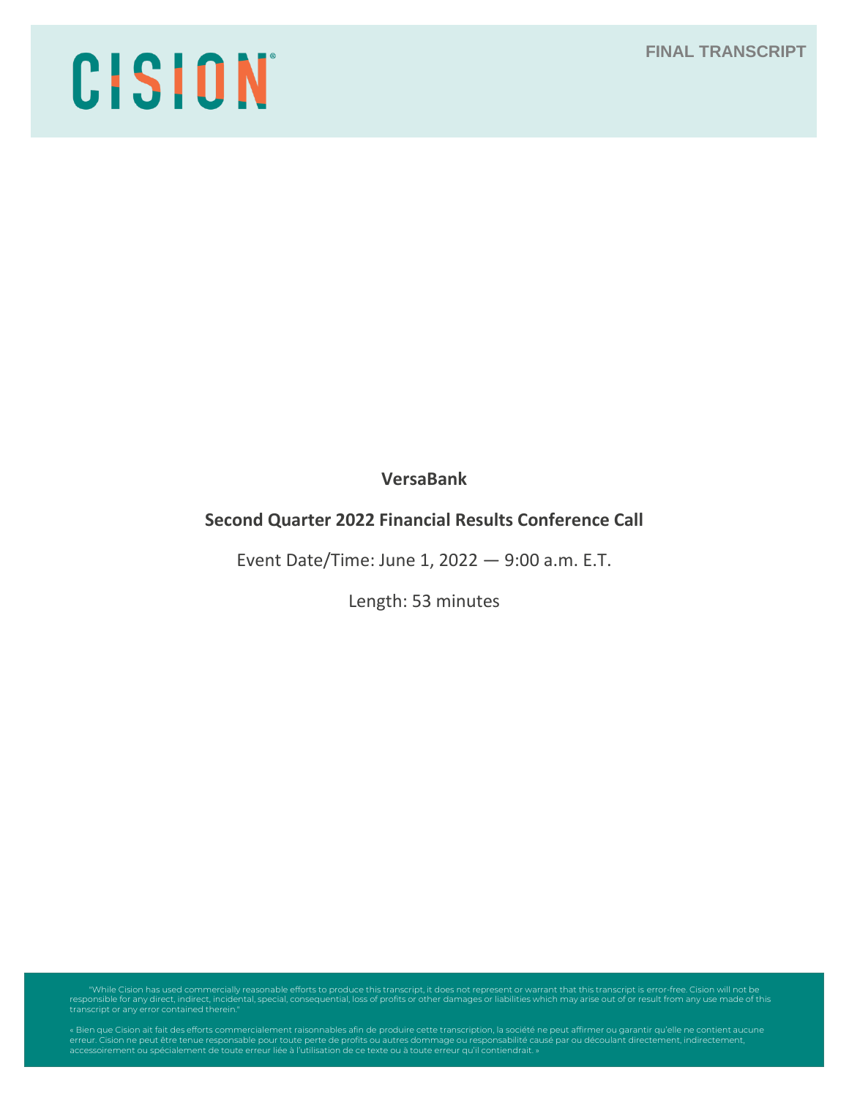# CISION

**VersaBank**

# **Second Quarter 2022 Financial Results Conference Call**

Event Date/Time: June 1, 2022 — 9:00 a.m. E.T.

Length: 53 minutes

"While Cision has used commercially reasonable efforts to produce this transcript, it does not represent or warrant that this transcript is error-free. Cision will not be<br>responsible for any direct, indirect, incidental, s

erreur. Cision ne peut être tenue responsable pour toute perte de profits ou autres dommage ou responsabilité causé par ou découlant directement, indirectement,<br>accessoirement ou spécialement de toute erreur liée à l'utili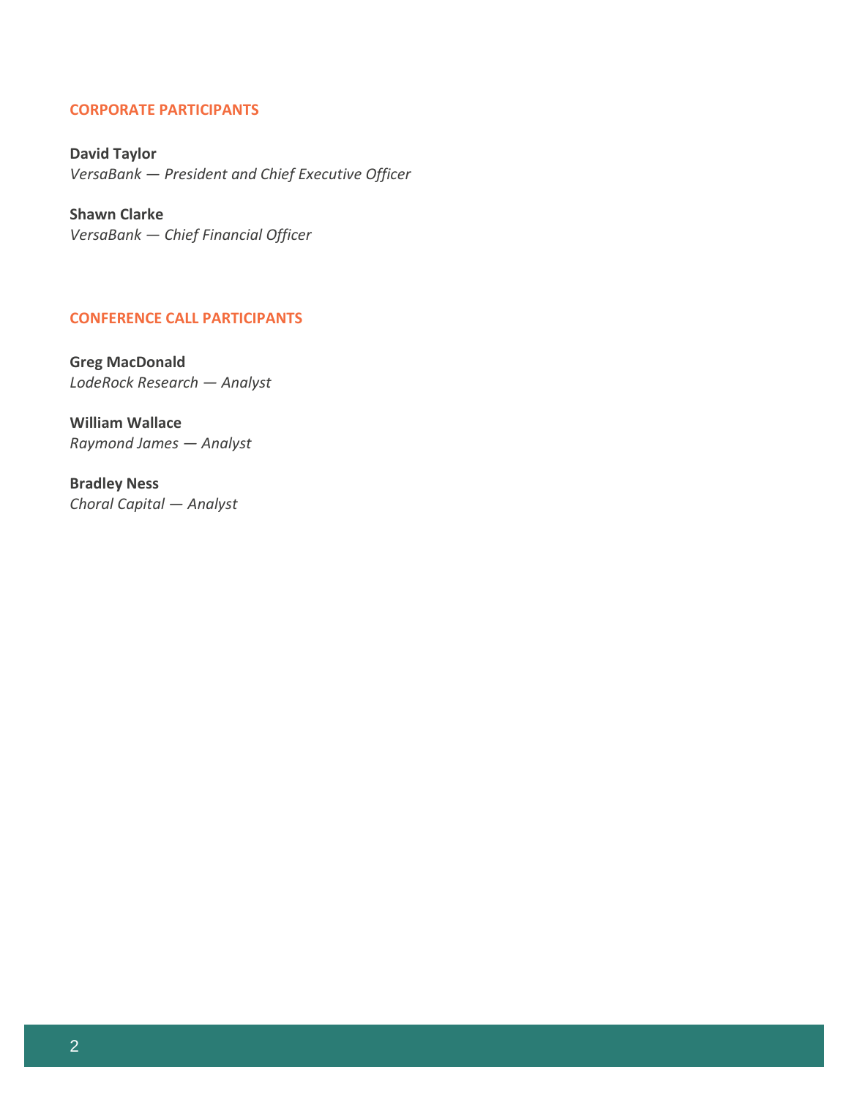# **CORPORATE PARTICIPANTS**

**David Taylor** *VersaBank — President and Chief Executive Officer*

**Shawn Clarke** *VersaBank — Chief Financial Officer*

# **CONFERENCE CALL PARTICIPANTS**

**Greg MacDonald** *LodeRock Research — Analyst*

**William Wallace** *Raymond James — Analyst*

**Bradley Ness** *Choral Capital — Analyst*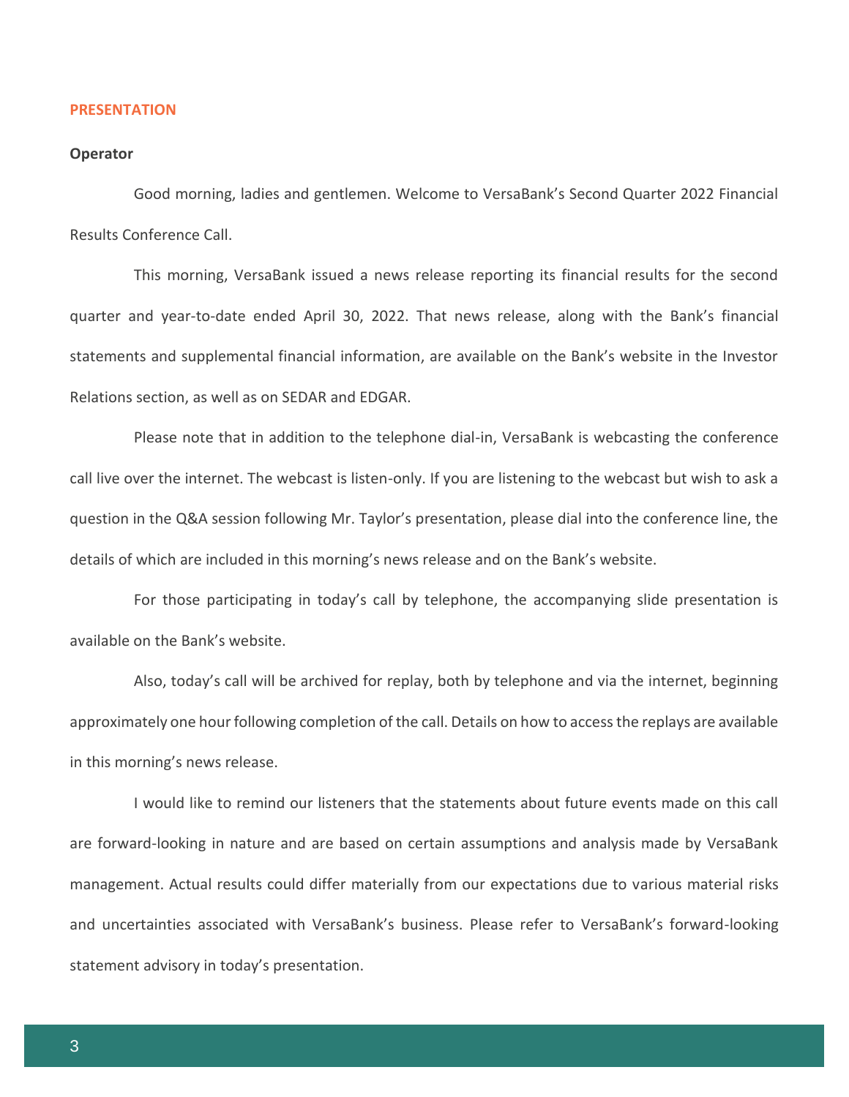### **PRESENTATION**

### **Operator**

Good morning, ladies and gentlemen. Welcome to VersaBank's Second Quarter 2022 Financial Results Conference Call.

This morning, VersaBank issued a news release reporting its financial results for the second quarter and year-to-date ended April 30, 2022. That news release, along with the Bank's financial statements and supplemental financial information, are available on the Bank's website in the Investor Relations section, as well as on SEDAR and EDGAR.

Please note that in addition to the telephone dial-in, VersaBank is webcasting the conference call live over the internet. The webcast is listen-only. If you are listening to the webcast but wish to ask a question in the Q&A session following Mr. Taylor's presentation, please dial into the conference line, the details of which are included in this morning's news release and on the Bank's website.

For those participating in today's call by telephone, the accompanying slide presentation is available on the Bank's website.

Also, today's call will be archived for replay, both by telephone and via the internet, beginning approximately one hour following completion of the call. Details on how to access the replays are available in this morning's news release.

I would like to remind our listeners that the statements about future events made on this call are forward-looking in nature and are based on certain assumptions and analysis made by VersaBank management. Actual results could differ materially from our expectations due to various material risks and uncertainties associated with VersaBank's business. Please refer to VersaBank's forward-looking statement advisory in today's presentation.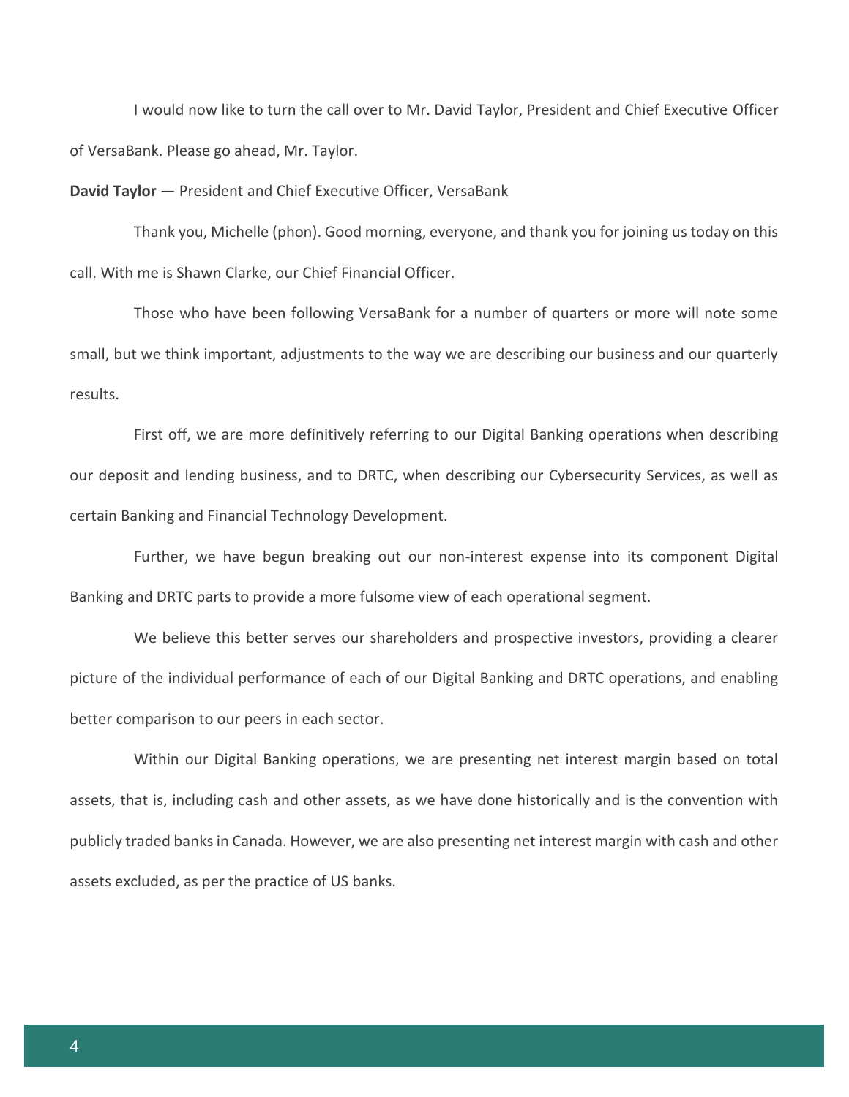I would now like to turn the call over to Mr. David Taylor, President and Chief Executive Officer of VersaBank. Please go ahead, Mr. Taylor.

**David Taylor** — President and Chief Executive Officer, VersaBank

Thank you, Michelle (phon). Good morning, everyone, and thank you for joining us today on this call. With me is Shawn Clarke, our Chief Financial Officer.

Those who have been following VersaBank for a number of quarters or more will note some small, but we think important, adjustments to the way we are describing our business and our quarterly results.

First off, we are more definitively referring to our Digital Banking operations when describing our deposit and lending business, and to DRTC, when describing our Cybersecurity Services, as well as certain Banking and Financial Technology Development.

Further, we have begun breaking out our non-interest expense into its component Digital Banking and DRTC parts to provide a more fulsome view of each operational segment.

We believe this better serves our shareholders and prospective investors, providing a clearer picture of the individual performance of each of our Digital Banking and DRTC operations, and enabling better comparison to our peers in each sector.

Within our Digital Banking operations, we are presenting net interest margin based on total assets, that is, including cash and other assets, as we have done historically and is the convention with publicly traded banks in Canada. However, we are also presenting net interest margin with cash and other assets excluded, as per the practice of US banks.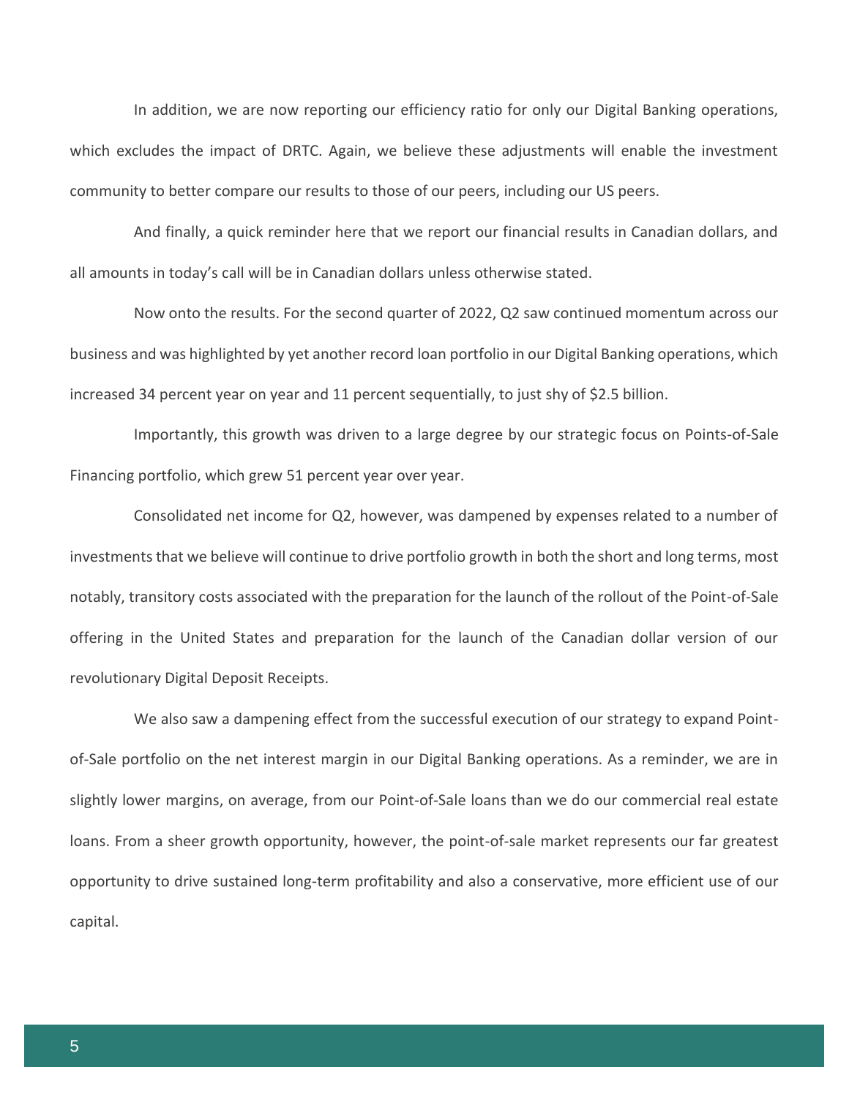In addition, we are now reporting our efficiency ratio for only our Digital Banking operations, which excludes the impact of DRTC. Again, we believe these adjustments will enable the investment community to better compare our results to those of our peers, including our US peers.

And finally, a quick reminder here that we report our financial results in Canadian dollars, and all amounts in today's call will be in Canadian dollars unless otherwise stated.

Now onto the results. For the second quarter of 2022, Q2 saw continued momentum across our business and was highlighted by yet another record loan portfolio in our Digital Banking operations, which increased 34 percent year on year and 11 percent sequentially, to just shy of \$2.5 billion.

Importantly, this growth was driven to a large degree by our strategic focus on Points-of-Sale Financing portfolio, which grew 51 percent year over year.

Consolidated net income for Q2, however, was dampened by expenses related to a number of investments that we believe will continue to drive portfolio growth in both the short and long terms, most notably, transitory costs associated with the preparation for the launch of the rollout of the Point-of-Sale offering in the United States and preparation for the launch of the Canadian dollar version of our revolutionary Digital Deposit Receipts.

We also saw a dampening effect from the successful execution of our strategy to expand Pointof-Sale portfolio on the net interest margin in our Digital Banking operations. As a reminder, we are in slightly lower margins, on average, from our Point-of-Sale loans than we do our commercial real estate loans. From a sheer growth opportunity, however, the point-of-sale market represents our far greatest opportunity to drive sustained long-term profitability and also a conservative, more efficient use of our capital.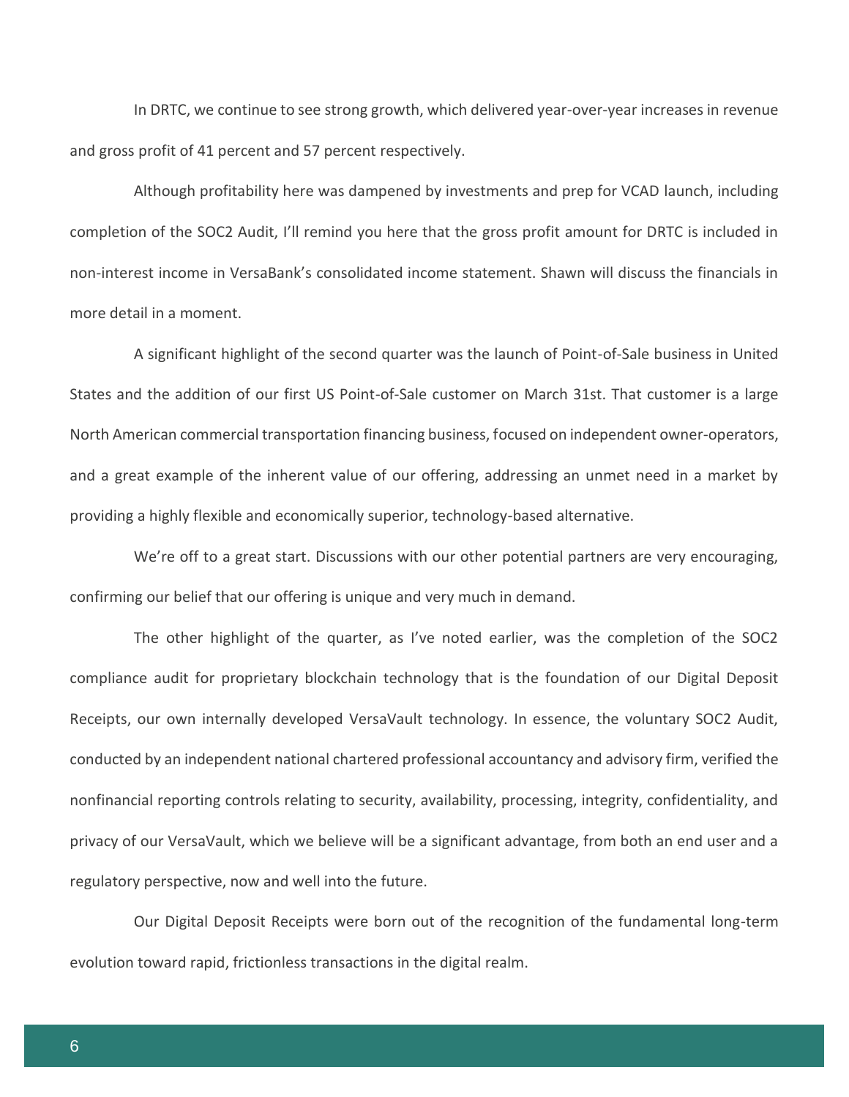In DRTC, we continue to see strong growth, which delivered year-over-year increases in revenue and gross profit of 41 percent and 57 percent respectively.

Although profitability here was dampened by investments and prep for VCAD launch, including completion of the SOC2 Audit, I'll remind you here that the gross profit amount for DRTC is included in non-interest income in VersaBank's consolidated income statement. Shawn will discuss the financials in more detail in a moment.

A significant highlight of the second quarter was the launch of Point-of-Sale business in United States and the addition of our first US Point-of-Sale customer on March 31st. That customer is a large North American commercial transportation financing business, focused on independent owner-operators, and a great example of the inherent value of our offering, addressing an unmet need in a market by providing a highly flexible and economically superior, technology-based alternative.

We're off to a great start. Discussions with our other potential partners are very encouraging, confirming our belief that our offering is unique and very much in demand.

The other highlight of the quarter, as I've noted earlier, was the completion of the SOC2 compliance audit for proprietary blockchain technology that is the foundation of our Digital Deposit Receipts, our own internally developed VersaVault technology. In essence, the voluntary SOC2 Audit, conducted by an independent national chartered professional accountancy and advisory firm, verified the nonfinancial reporting controls relating to security, availability, processing, integrity, confidentiality, and privacy of our VersaVault, which we believe will be a significant advantage, from both an end user and a regulatory perspective, now and well into the future.

Our Digital Deposit Receipts were born out of the recognition of the fundamental long-term evolution toward rapid, frictionless transactions in the digital realm.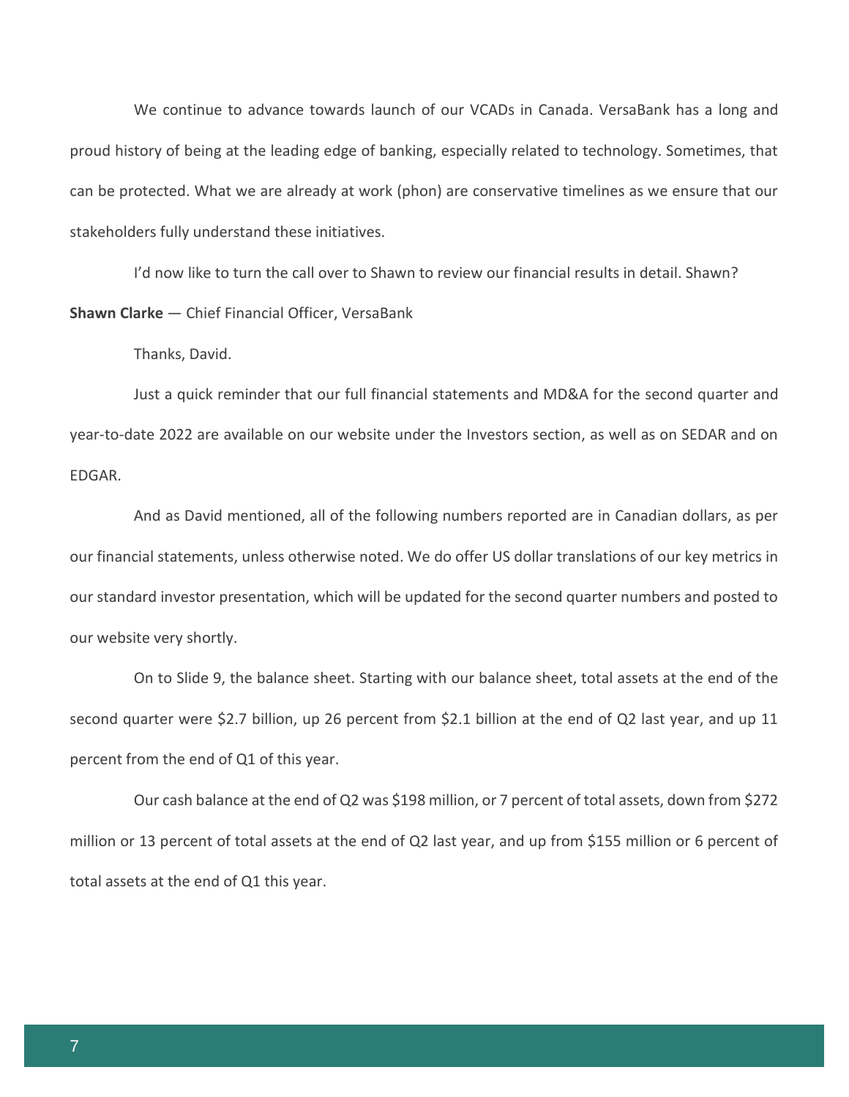We continue to advance towards launch of our VCADs in Canada. VersaBank has a long and proud history of being at the leading edge of banking, especially related to technology. Sometimes, that can be protected. What we are already at work (phon) are conservative timelines as we ensure that our stakeholders fully understand these initiatives.

I'd now like to turn the call over to Shawn to review our financial results in detail. Shawn?

**Shawn Clarke** — Chief Financial Officer, VersaBank

Thanks, David.

Just a quick reminder that our full financial statements and MD&A for the second quarter and year-to-date 2022 are available on our website under the Investors section, as well as on SEDAR and on EDGAR.

And as David mentioned, all of the following numbers reported are in Canadian dollars, as per our financial statements, unless otherwise noted. We do offer US dollar translations of our key metrics in our standard investor presentation, which will be updated for the second quarter numbers and posted to our website very shortly.

On to Slide 9, the balance sheet. Starting with our balance sheet, total assets at the end of the second quarter were \$2.7 billion, up 26 percent from \$2.1 billion at the end of Q2 last year, and up 11 percent from the end of Q1 of this year.

Our cash balance at the end of Q2 was \$198 million, or 7 percent of total assets, down from \$272 million or 13 percent of total assets at the end of Q2 last year, and up from \$155 million or 6 percent of total assets at the end of Q1 this year.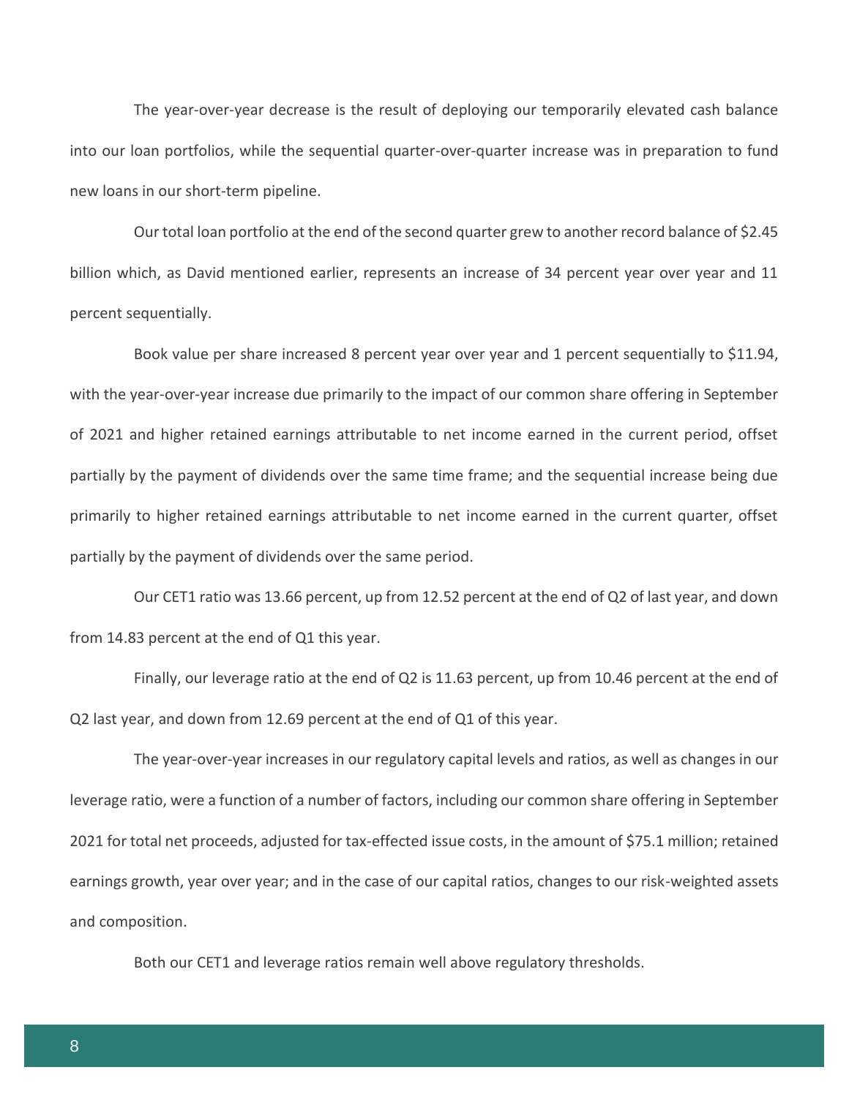The year-over-year decrease is the result of deploying our temporarily elevated cash balance into our loan portfolios, while the sequential quarter-over-quarter increase was in preparation to fund new loans in our short-term pipeline.

Our total loan portfolio at the end of the second quarter grew to another record balance of \$2.45 billion which, as David mentioned earlier, represents an increase of 34 percent year over year and 11 percent sequentially.

Book value per share increased 8 percent year over year and 1 percent sequentially to \$11.94, with the year-over-year increase due primarily to the impact of our common share offering in September of 2021 and higher retained earnings attributable to net income earned in the current period, offset partially by the payment of dividends over the same time frame; and the sequential increase being due primarily to higher retained earnings attributable to net income earned in the current quarter, offset partially by the payment of dividends over the same period.

Our CET1 ratio was 13.66 percent, up from 12.52 percent at the end of Q2 of last year, and down from 14.83 percent at the end of Q1 this year.

Finally, our leverage ratio at the end of Q2 is 11.63 percent, up from 10.46 percent at the end of Q2 last year, and down from 12.69 percent at the end of Q1 of this year.

The year-over-year increases in our regulatory capital levels and ratios, as well as changes in our leverage ratio, were a function of a number of factors, including our common share offering in September 2021 for total net proceeds, adjusted for tax-effected issue costs, in the amount of \$75.1 million; retained earnings growth, year over year; and in the case of our capital ratios, changes to our risk-weighted assets and composition.

Both our CET1 and leverage ratios remain well above regulatory thresholds.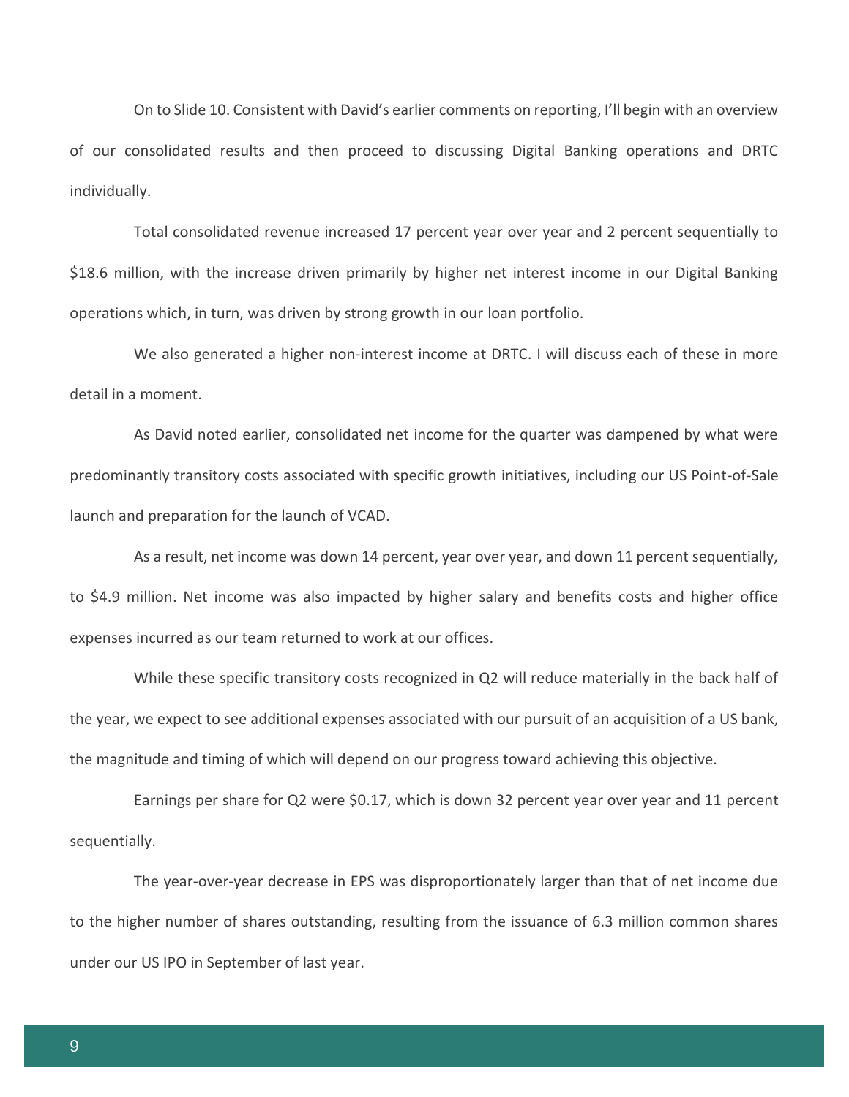On to Slide 10. Consistent with David's earlier comments on reporting, I'll begin with an overview of our consolidated results and then proceed to discussing Digital Banking operations and DRTC individually.

Total consolidated revenue increased 17 percent year over year and 2 percent sequentially to \$18.6 million, with the increase driven primarily by higher net interest income in our Digital Banking operations which, in turn, was driven by strong growth in our loan portfolio.

We also generated a higher non-interest income at DRTC. I will discuss each of these in more detail in a moment.

As David noted earlier, consolidated net income for the quarter was dampened by what were predominantly transitory costs associated with specific growth initiatives, including our US Point-of-Sale launch and preparation for the launch of VCAD.

As a result, net income was down 14 percent, year over year, and down 11 percent sequentially, to \$4.9 million. Net income was also impacted by higher salary and benefits costs and higher office expenses incurred as our team returned to work at our offices.

While these specific transitory costs recognized in Q2 will reduce materially in the back half of the year, we expect to see additional expenses associated with our pursuit of an acquisition of a US bank, the magnitude and timing of which will depend on our progress toward achieving this objective.

Earnings per share for Q2 were \$0.17, which is down 32 percent year over year and 11 percent sequentially.

The year-over-year decrease in EPS was disproportionately larger than that of net income due to the higher number of shares outstanding, resulting from the issuance of 6.3 million common shares under our US IPO in September of last year.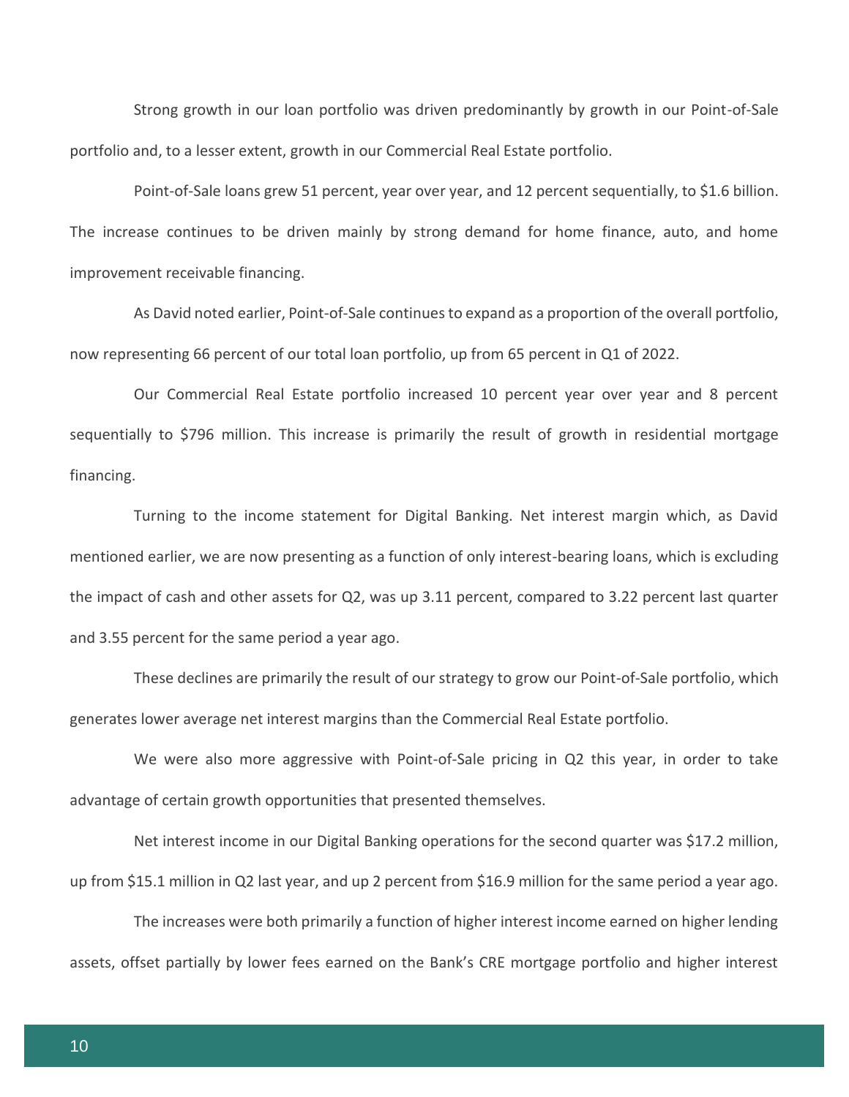Strong growth in our loan portfolio was driven predominantly by growth in our Point-of-Sale portfolio and, to a lesser extent, growth in our Commercial Real Estate portfolio.

Point-of-Sale loans grew 51 percent, year over year, and 12 percent sequentially, to \$1.6 billion. The increase continues to be driven mainly by strong demand for home finance, auto, and home improvement receivable financing.

As David noted earlier, Point-of-Sale continues to expand as a proportion of the overall portfolio, now representing 66 percent of our total loan portfolio, up from 65 percent in Q1 of 2022.

Our Commercial Real Estate portfolio increased 10 percent year over year and 8 percent sequentially to \$796 million. This increase is primarily the result of growth in residential mortgage financing.

Turning to the income statement for Digital Banking. Net interest margin which, as David mentioned earlier, we are now presenting as a function of only interest-bearing loans, which is excluding the impact of cash and other assets for Q2, was up 3.11 percent, compared to 3.22 percent last quarter and 3.55 percent for the same period a year ago.

These declines are primarily the result of our strategy to grow our Point-of-Sale portfolio, which generates lower average net interest margins than the Commercial Real Estate portfolio.

We were also more aggressive with Point-of-Sale pricing in Q2 this year, in order to take advantage of certain growth opportunities that presented themselves.

Net interest income in our Digital Banking operations for the second quarter was \$17.2 million, up from \$15.1 million in Q2 last year, and up 2 percent from \$16.9 million for the same period a year ago.

The increases were both primarily a function of higher interest income earned on higher lending assets, offset partially by lower fees earned on the Bank's CRE mortgage portfolio and higher interest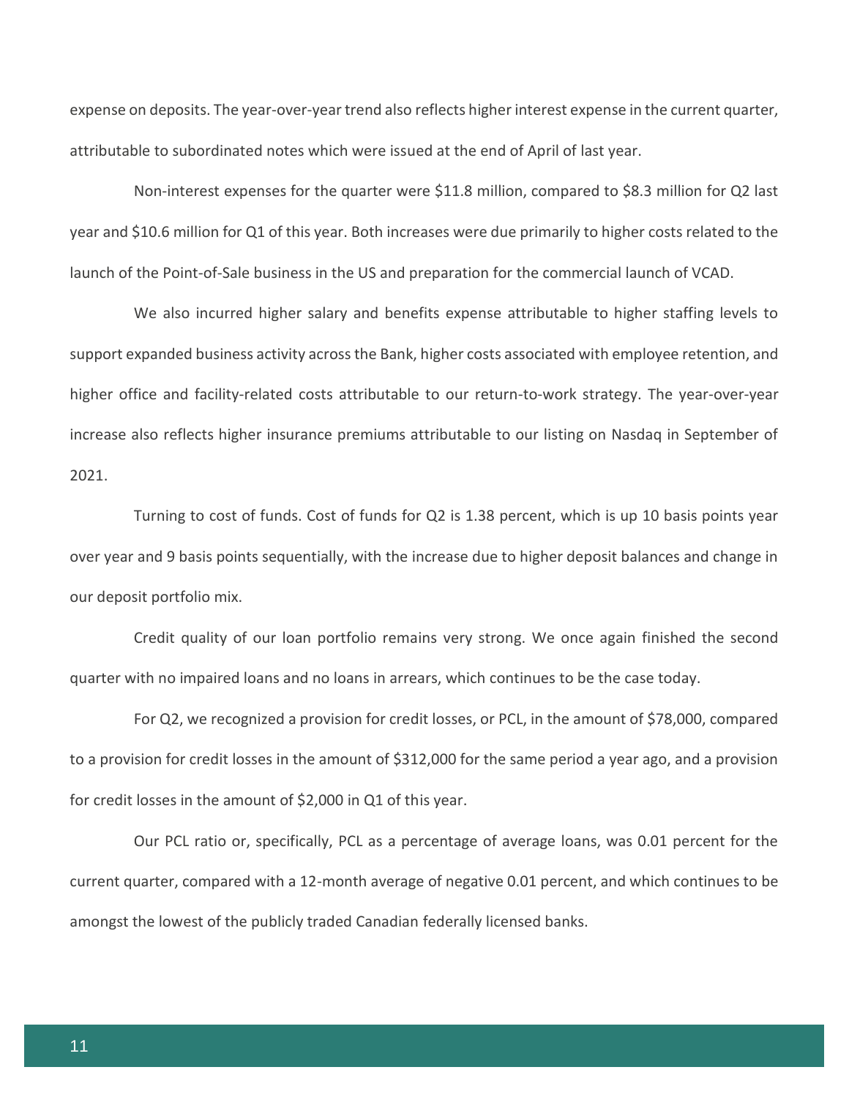expense on deposits. The year-over-year trend also reflects higher interest expense in the current quarter, attributable to subordinated notes which were issued at the end of April of last year.

Non-interest expenses for the quarter were \$11.8 million, compared to \$8.3 million for Q2 last year and \$10.6 million for Q1 of this year. Both increases were due primarily to higher costs related to the launch of the Point-of-Sale business in the US and preparation for the commercial launch of VCAD.

We also incurred higher salary and benefits expense attributable to higher staffing levels to support expanded business activity across the Bank, higher costs associated with employee retention, and higher office and facility-related costs attributable to our return-to-work strategy. The year-over-year increase also reflects higher insurance premiums attributable to our listing on Nasdaq in September of 2021.

Turning to cost of funds. Cost of funds for Q2 is 1.38 percent, which is up 10 basis points year over year and 9 basis points sequentially, with the increase due to higher deposit balances and change in our deposit portfolio mix.

Credit quality of our loan portfolio remains very strong. We once again finished the second quarter with no impaired loans and no loans in arrears, which continues to be the case today.

For Q2, we recognized a provision for credit losses, or PCL, in the amount of \$78,000, compared to a provision for credit losses in the amount of \$312,000 for the same period a year ago, and a provision for credit losses in the amount of \$2,000 in Q1 of this year.

Our PCL ratio or, specifically, PCL as a percentage of average loans, was 0.01 percent for the current quarter, compared with a 12-month average of negative 0.01 percent, and which continues to be amongst the lowest of the publicly traded Canadian federally licensed banks.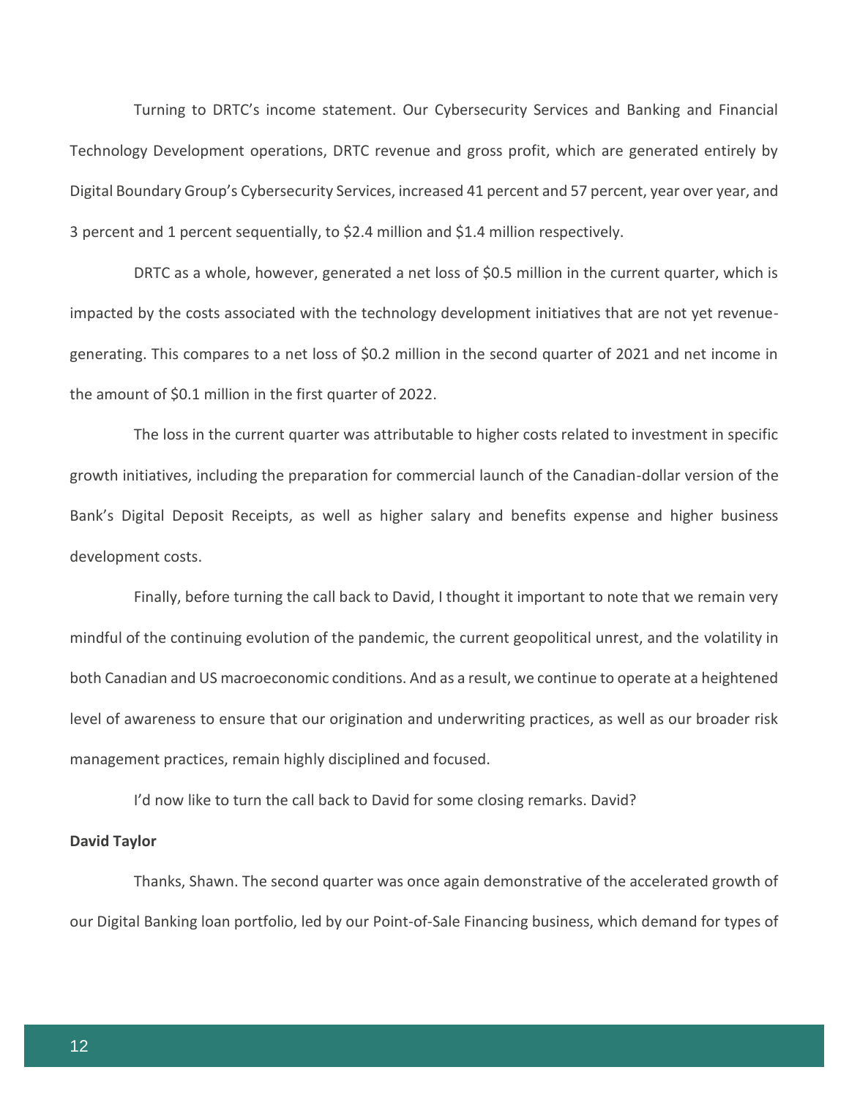Turning to DRTC's income statement. Our Cybersecurity Services and Banking and Financial Technology Development operations, DRTC revenue and gross profit, which are generated entirely by Digital Boundary Group's Cybersecurity Services, increased 41 percent and 57 percent, year over year, and 3 percent and 1 percent sequentially, to \$2.4 million and \$1.4 million respectively.

DRTC as a whole, however, generated a net loss of \$0.5 million in the current quarter, which is impacted by the costs associated with the technology development initiatives that are not yet revenuegenerating. This compares to a net loss of \$0.2 million in the second quarter of 2021 and net income in the amount of \$0.1 million in the first quarter of 2022.

The loss in the current quarter was attributable to higher costs related to investment in specific growth initiatives, including the preparation for commercial launch of the Canadian-dollar version of the Bank's Digital Deposit Receipts, as well as higher salary and benefits expense and higher business development costs.

Finally, before turning the call back to David, I thought it important to note that we remain very mindful of the continuing evolution of the pandemic, the current geopolitical unrest, and the volatility in both Canadian and US macroeconomic conditions. And as a result, we continue to operate at a heightened level of awareness to ensure that our origination and underwriting practices, as well as our broader risk management practices, remain highly disciplined and focused.

I'd now like to turn the call back to David for some closing remarks. David?

### **David Taylor**

Thanks, Shawn. The second quarter was once again demonstrative of the accelerated growth of our Digital Banking loan portfolio, led by our Point-of-Sale Financing business, which demand for types of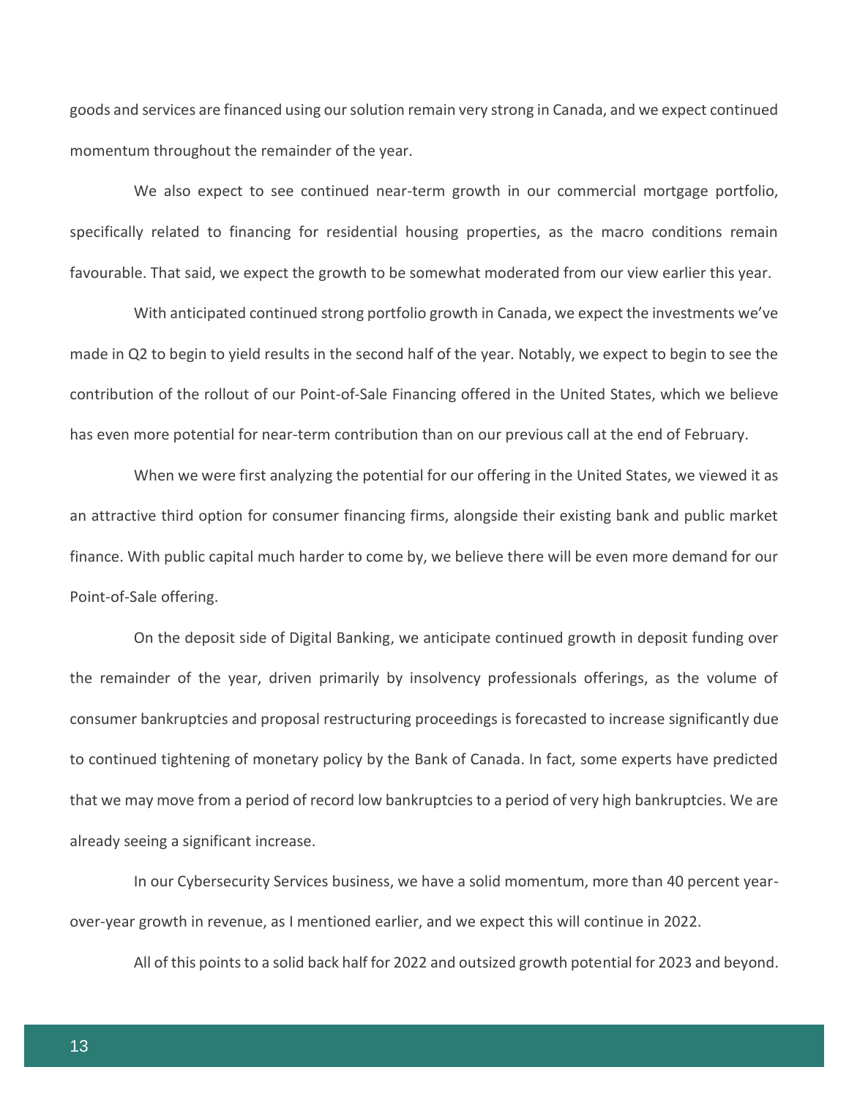goods and services are financed using our solution remain very strong in Canada, and we expect continued momentum throughout the remainder of the year.

We also expect to see continued near-term growth in our commercial mortgage portfolio, specifically related to financing for residential housing properties, as the macro conditions remain favourable. That said, we expect the growth to be somewhat moderated from our view earlier this year.

With anticipated continued strong portfolio growth in Canada, we expect the investments we've made in Q2 to begin to yield results in the second half of the year. Notably, we expect to begin to see the contribution of the rollout of our Point-of-Sale Financing offered in the United States, which we believe has even more potential for near-term contribution than on our previous call at the end of February.

When we were first analyzing the potential for our offering in the United States, we viewed it as an attractive third option for consumer financing firms, alongside their existing bank and public market finance. With public capital much harder to come by, we believe there will be even more demand for our Point-of-Sale offering.

On the deposit side of Digital Banking, we anticipate continued growth in deposit funding over the remainder of the year, driven primarily by insolvency professionals offerings, as the volume of consumer bankruptcies and proposal restructuring proceedings is forecasted to increase significantly due to continued tightening of monetary policy by the Bank of Canada. In fact, some experts have predicted that we may move from a period of record low bankruptcies to a period of very high bankruptcies. We are already seeing a significant increase.

In our Cybersecurity Services business, we have a solid momentum, more than 40 percent yearover-year growth in revenue, as I mentioned earlier, and we expect this will continue in 2022.

All of this points to a solid back half for 2022 and outsized growth potential for 2023 and beyond.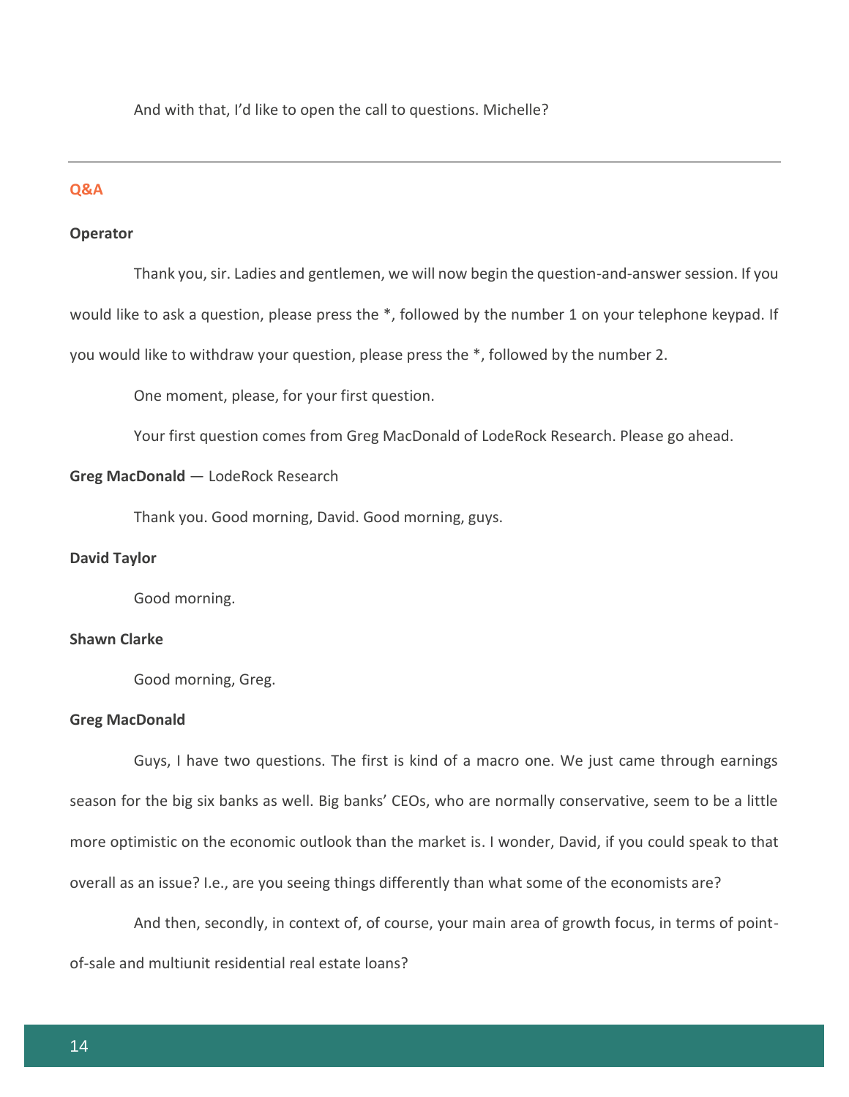And with that, I'd like to open the call to questions. Michelle?

# **Q&A**

### **Operator**

Thank you, sir. Ladies and gentlemen, we will now begin the question-and-answer session. If you would like to ask a question, please press the \*, followed by the number 1 on your telephone keypad. If you would like to withdraw your question, please press the \*, followed by the number 2.

One moment, please, for your first question.

Your first question comes from Greg MacDonald of LodeRock Research. Please go ahead.

### **Greg MacDonald** — LodeRock Research

Thank you. Good morning, David. Good morning, guys.

# **David Taylor**

Good morning.

# **Shawn Clarke**

Good morning, Greg.

### **Greg MacDonald**

Guys, I have two questions. The first is kind of a macro one. We just came through earnings season for the big six banks as well. Big banks' CEOs, who are normally conservative, seem to be a little more optimistic on the economic outlook than the market is. I wonder, David, if you could speak to that overall as an issue? I.e., are you seeing things differently than what some of the economists are?

And then, secondly, in context of, of course, your main area of growth focus, in terms of pointof-sale and multiunit residential real estate loans?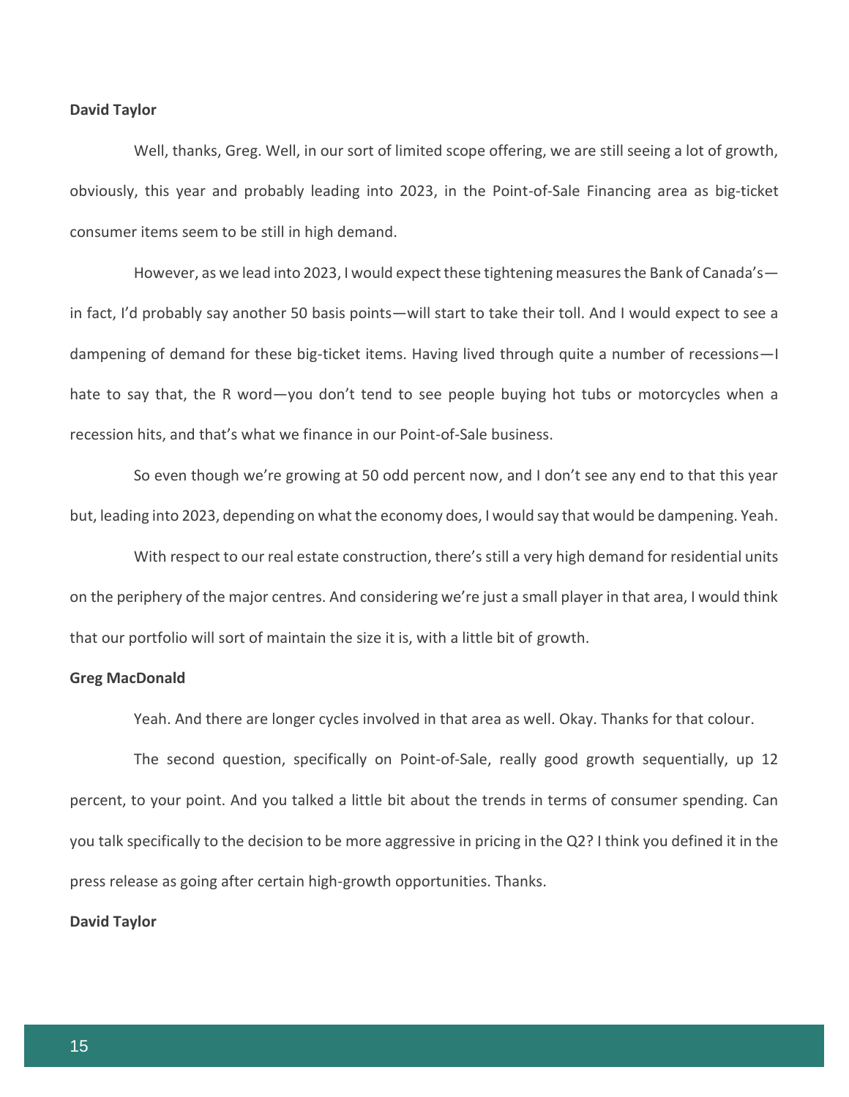### **David Taylor**

Well, thanks, Greg. Well, in our sort of limited scope offering, we are still seeing a lot of growth, obviously, this year and probably leading into 2023, in the Point-of-Sale Financing area as big-ticket consumer items seem to be still in high demand.

However, as we lead into 2023, I would expect these tightening measures the Bank of Canada's in fact, I'd probably say another 50 basis points—will start to take their toll. And I would expect to see a dampening of demand for these big-ticket items. Having lived through quite a number of recessions—I hate to say that, the R word—you don't tend to see people buying hot tubs or motorcycles when a recession hits, and that's what we finance in our Point-of-Sale business.

So even though we're growing at 50 odd percent now, and I don't see any end to that this year but, leading into 2023, depending on what the economy does, I would say that would be dampening. Yeah.

With respect to our real estate construction, there's still a very high demand for residential units on the periphery of the major centres. And considering we're just a small player in that area, I would think that our portfolio will sort of maintain the size it is, with a little bit of growth.

### **Greg MacDonald**

Yeah. And there are longer cycles involved in that area as well. Okay. Thanks for that colour.

The second question, specifically on Point-of-Sale, really good growth sequentially, up 12 percent, to your point. And you talked a little bit about the trends in terms of consumer spending. Can you talk specifically to the decision to be more aggressive in pricing in the Q2? I think you defined it in the press release as going after certain high-growth opportunities. Thanks.

### **David Taylor**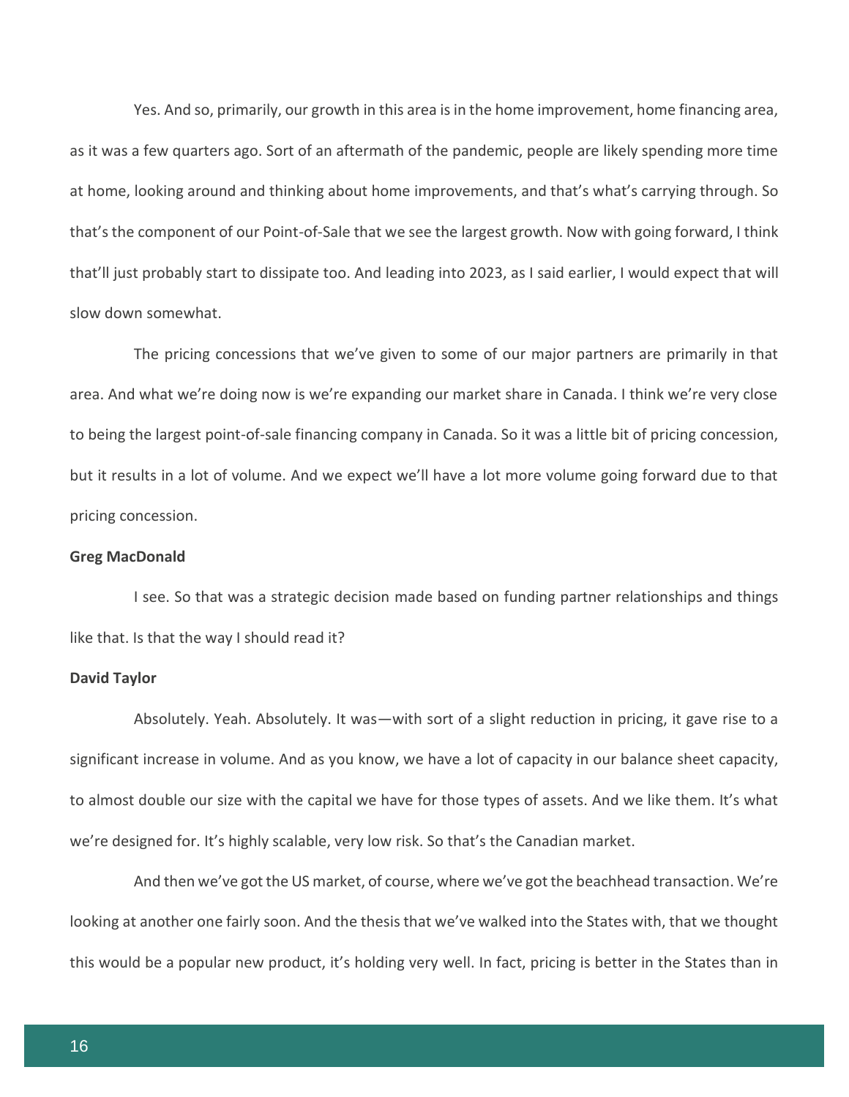Yes. And so, primarily, our growth in this area is in the home improvement, home financing area, as it was a few quarters ago. Sort of an aftermath of the pandemic, people are likely spending more time at home, looking around and thinking about home improvements, and that's what's carrying through. So that's the component of our Point-of-Sale that we see the largest growth. Now with going forward, I think that'll just probably start to dissipate too. And leading into 2023, as I said earlier, I would expect that will slow down somewhat.

The pricing concessions that we've given to some of our major partners are primarily in that area. And what we're doing now is we're expanding our market share in Canada. I think we're very close to being the largest point-of-sale financing company in Canada. So it was a little bit of pricing concession, but it results in a lot of volume. And we expect we'll have a lot more volume going forward due to that pricing concession.

# **Greg MacDonald**

I see. So that was a strategic decision made based on funding partner relationships and things like that. Is that the way I should read it?

### **David Taylor**

Absolutely. Yeah. Absolutely. It was—with sort of a slight reduction in pricing, it gave rise to a significant increase in volume. And as you know, we have a lot of capacity in our balance sheet capacity, to almost double our size with the capital we have for those types of assets. And we like them. It's what we're designed for. It's highly scalable, very low risk. So that's the Canadian market.

And then we've got the US market, of course, where we've got the beachhead transaction. We're looking at another one fairly soon. And the thesis that we've walked into the States with, that we thought this would be a popular new product, it's holding very well. In fact, pricing is better in the States than in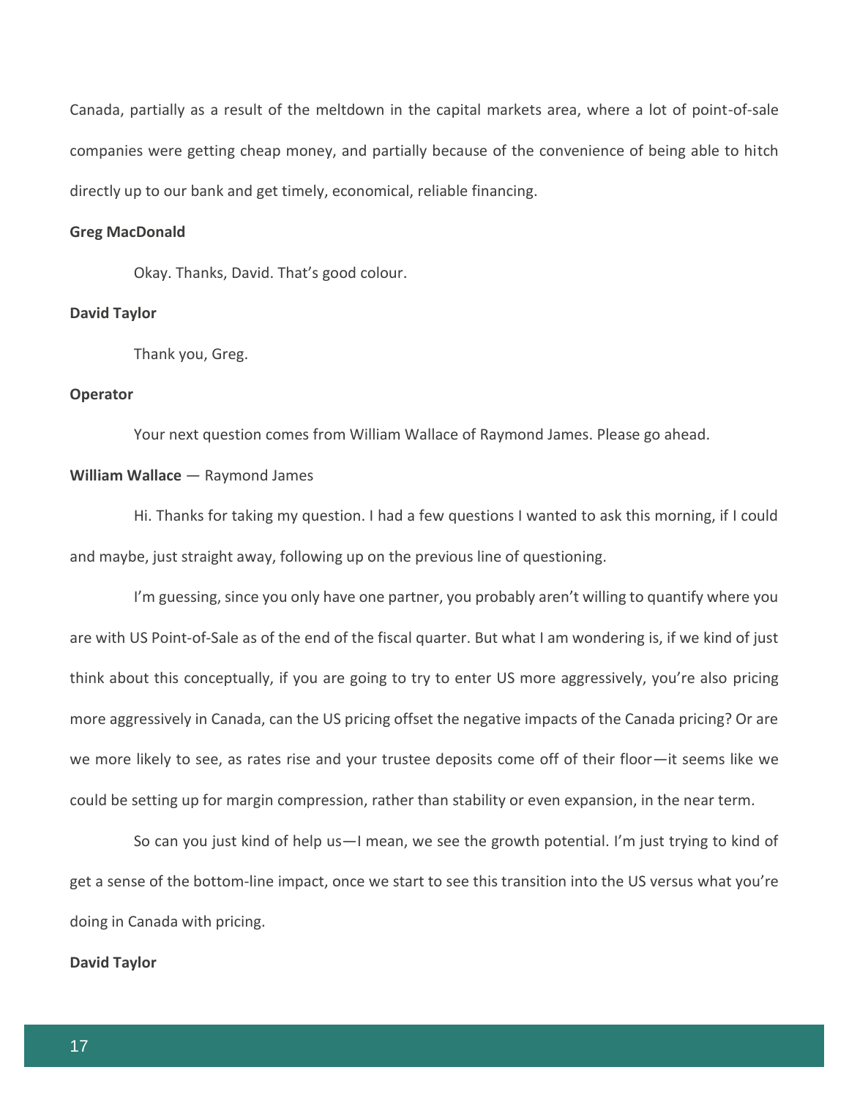Canada, partially as a result of the meltdown in the capital markets area, where a lot of point-of-sale companies were getting cheap money, and partially because of the convenience of being able to hitch directly up to our bank and get timely, economical, reliable financing.

### **Greg MacDonald**

Okay. Thanks, David. That's good colour.

### **David Taylor**

Thank you, Greg.

### **Operator**

Your next question comes from William Wallace of Raymond James. Please go ahead.

### **William Wallace** — Raymond James

Hi. Thanks for taking my question. I had a few questions I wanted to ask this morning, if I could and maybe, just straight away, following up on the previous line of questioning.

I'm guessing, since you only have one partner, you probably aren't willing to quantify where you are with US Point-of-Sale as of the end of the fiscal quarter. But what I am wondering is, if we kind of just think about this conceptually, if you are going to try to enter US more aggressively, you're also pricing more aggressively in Canada, can the US pricing offset the negative impacts of the Canada pricing? Or are we more likely to see, as rates rise and your trustee deposits come off of their floor—it seems like we could be setting up for margin compression, rather than stability or even expansion, in the near term.

So can you just kind of help us—I mean, we see the growth potential. I'm just trying to kind of get a sense of the bottom-line impact, once we start to see this transition into the US versus what you're doing in Canada with pricing.

### **David Taylor**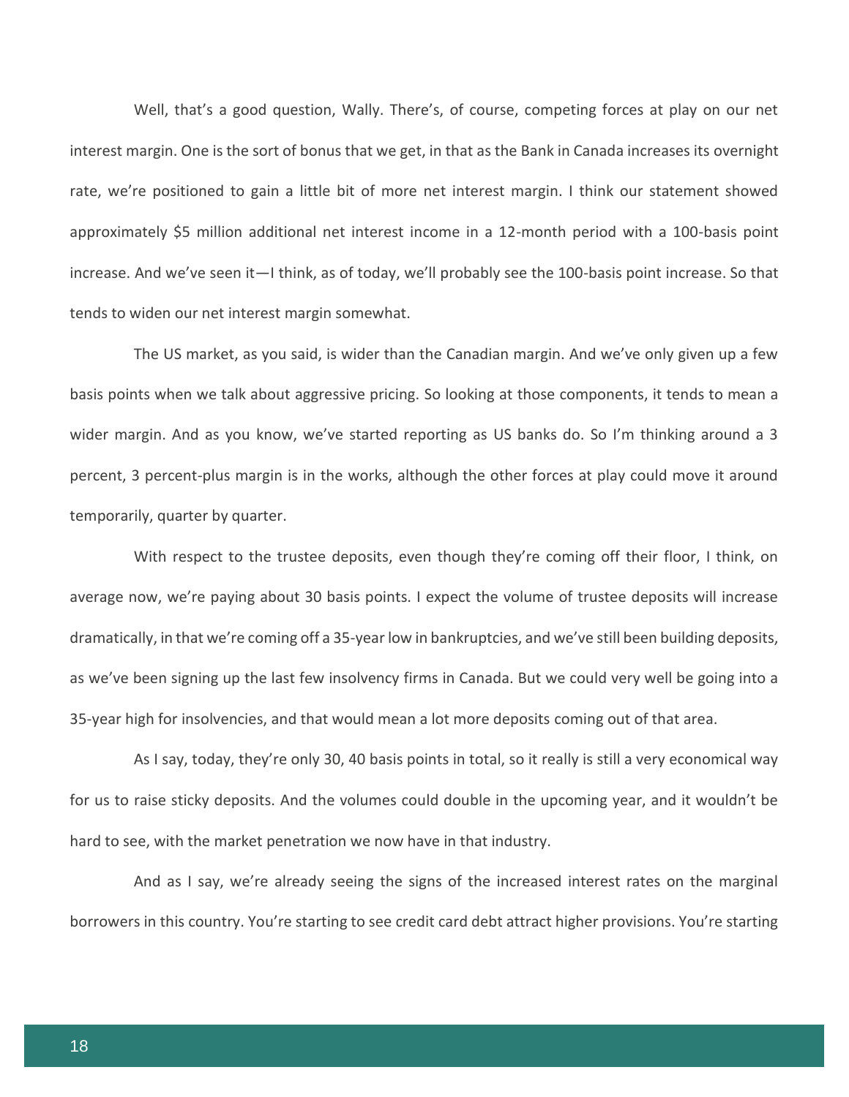Well, that's a good question, Wally. There's, of course, competing forces at play on our net interest margin. One is the sort of bonus that we get, in that as the Bank in Canada increases its overnight rate, we're positioned to gain a little bit of more net interest margin. I think our statement showed approximately \$5 million additional net interest income in a 12-month period with a 100-basis point increase. And we've seen it—I think, as of today, we'll probably see the 100-basis point increase. So that tends to widen our net interest margin somewhat.

The US market, as you said, is wider than the Canadian margin. And we've only given up a few basis points when we talk about aggressive pricing. So looking at those components, it tends to mean a wider margin. And as you know, we've started reporting as US banks do. So I'm thinking around a 3 percent, 3 percent-plus margin is in the works, although the other forces at play could move it around temporarily, quarter by quarter.

With respect to the trustee deposits, even though they're coming off their floor, I think, on average now, we're paying about 30 basis points. I expect the volume of trustee deposits will increase dramatically, in that we're coming off a 35-year low in bankruptcies, and we've still been building deposits, as we've been signing up the last few insolvency firms in Canada. But we could very well be going into a 35-year high for insolvencies, and that would mean a lot more deposits coming out of that area.

As I say, today, they're only 30, 40 basis points in total, so it really is still a very economical way for us to raise sticky deposits. And the volumes could double in the upcoming year, and it wouldn't be hard to see, with the market penetration we now have in that industry.

And as I say, we're already seeing the signs of the increased interest rates on the marginal borrowers in this country. You're starting to see credit card debt attract higher provisions. You're starting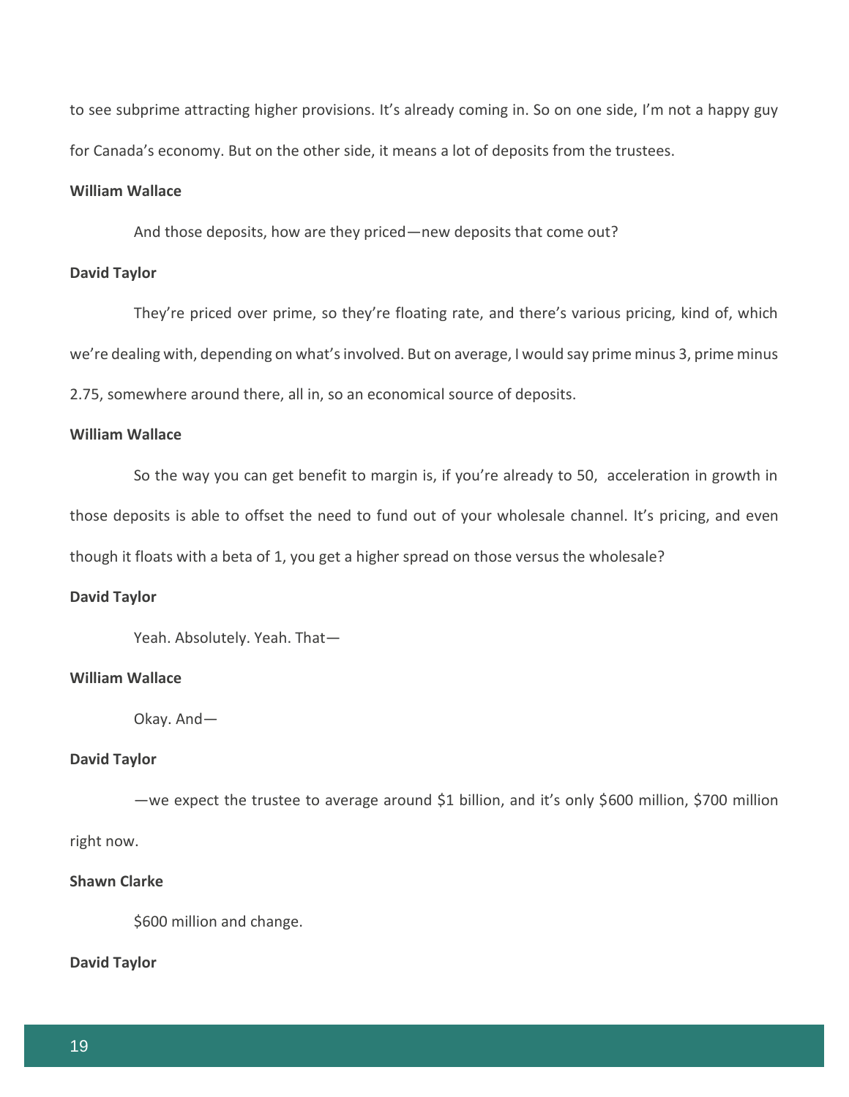to see subprime attracting higher provisions. It's already coming in. So on one side, I'm not a happy guy for Canada's economy. But on the other side, it means a lot of deposits from the trustees.

# **William Wallace**

And those deposits, how are they priced—new deposits that come out?

# **David Taylor**

They're priced over prime, so they're floating rate, and there's various pricing, kind of, which we're dealing with, depending on what's involved. But on average, I would say prime minus 3, prime minus 2.75, somewhere around there, all in, so an economical source of deposits.

# **William Wallace**

So the way you can get benefit to margin is, if you're already to 50, acceleration in growth in those deposits is able to offset the need to fund out of your wholesale channel. It's pricing, and even though it floats with a beta of 1, you get a higher spread on those versus the wholesale?

# **David Taylor**

Yeah. Absolutely. Yeah. That—

# **William Wallace**

Okay. And—

# **David Taylor**

—we expect the trustee to average around \$1 billion, and it's only \$600 million, \$700 million right now.

# **Shawn Clarke**

\$600 million and change.

### **David Taylor**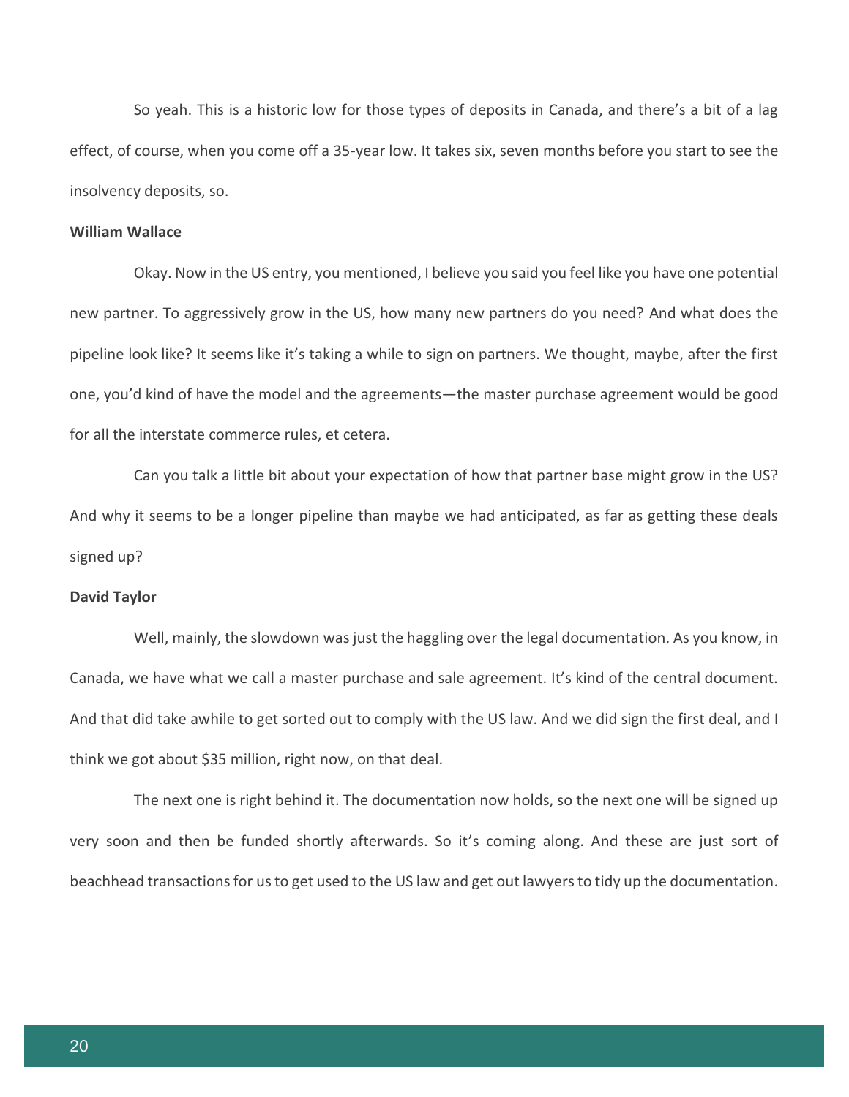So yeah. This is a historic low for those types of deposits in Canada, and there's a bit of a lag effect, of course, when you come off a 35-year low. It takes six, seven months before you start to see the insolvency deposits, so.

### **William Wallace**

Okay. Now in the US entry, you mentioned, I believe you said you feel like you have one potential new partner. To aggressively grow in the US, how many new partners do you need? And what does the pipeline look like? It seems like it's taking a while to sign on partners. We thought, maybe, after the first one, you'd kind of have the model and the agreements—the master purchase agreement would be good for all the interstate commerce rules, et cetera.

Can you talk a little bit about your expectation of how that partner base might grow in the US? And why it seems to be a longer pipeline than maybe we had anticipated, as far as getting these deals signed up?

# **David Taylor**

Well, mainly, the slowdown was just the haggling over the legal documentation. As you know, in Canada, we have what we call a master purchase and sale agreement. It's kind of the central document. And that did take awhile to get sorted out to comply with the US law. And we did sign the first deal, and I think we got about \$35 million, right now, on that deal.

The next one is right behind it. The documentation now holds, so the next one will be signed up very soon and then be funded shortly afterwards. So it's coming along. And these are just sort of beachhead transactions for us to get used to the US law and get out lawyers to tidy up the documentation.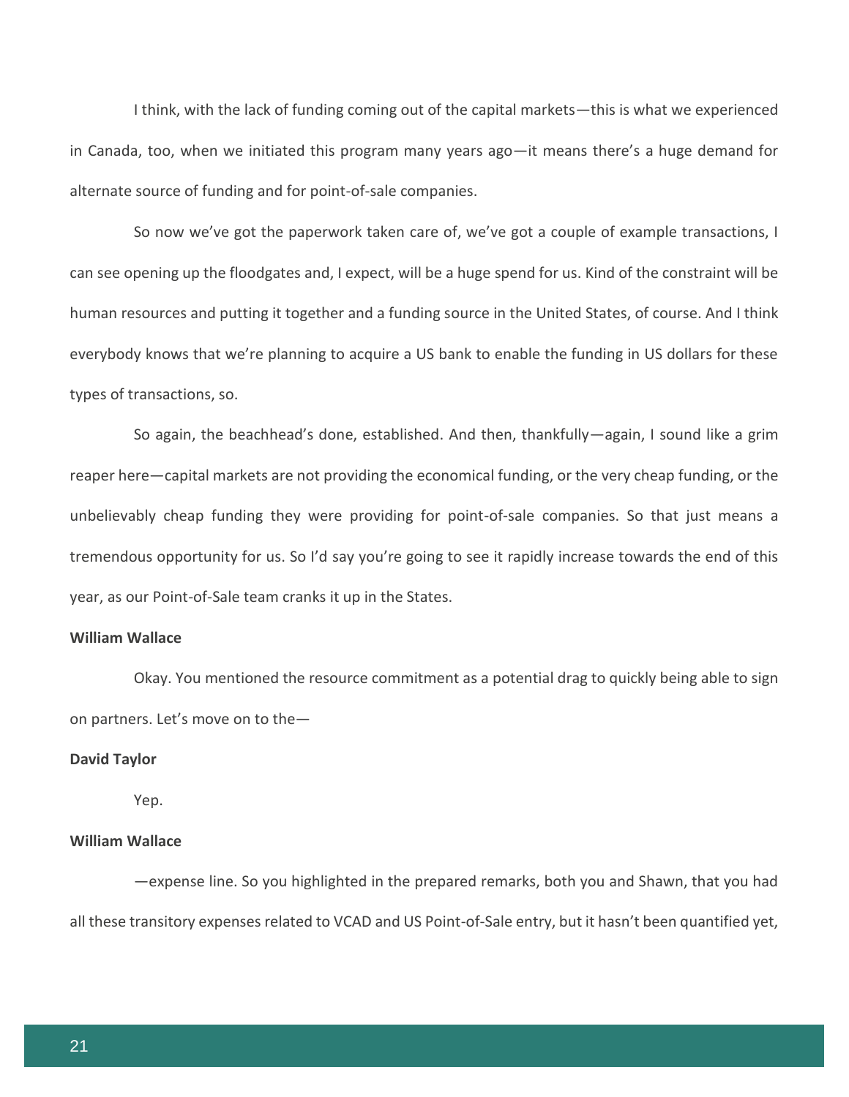I think, with the lack of funding coming out of the capital markets—this is what we experienced in Canada, too, when we initiated this program many years ago—it means there's a huge demand for alternate source of funding and for point-of-sale companies.

So now we've got the paperwork taken care of, we've got a couple of example transactions, I can see opening up the floodgates and, I expect, will be a huge spend for us. Kind of the constraint will be human resources and putting it together and a funding source in the United States, of course. And I think everybody knows that we're planning to acquire a US bank to enable the funding in US dollars for these types of transactions, so.

So again, the beachhead's done, established. And then, thankfully—again, I sound like a grim reaper here—capital markets are not providing the economical funding, or the very cheap funding, or the unbelievably cheap funding they were providing for point-of-sale companies. So that just means a tremendous opportunity for us. So I'd say you're going to see it rapidly increase towards the end of this year, as our Point-of-Sale team cranks it up in the States.

## **William Wallace**

Okay. You mentioned the resource commitment as a potential drag to quickly being able to sign on partners. Let's move on to the—

### **David Taylor**

Yep.

# **William Wallace**

—expense line. So you highlighted in the prepared remarks, both you and Shawn, that you had all these transitory expenses related to VCAD and US Point-of-Sale entry, but it hasn't been quantified yet,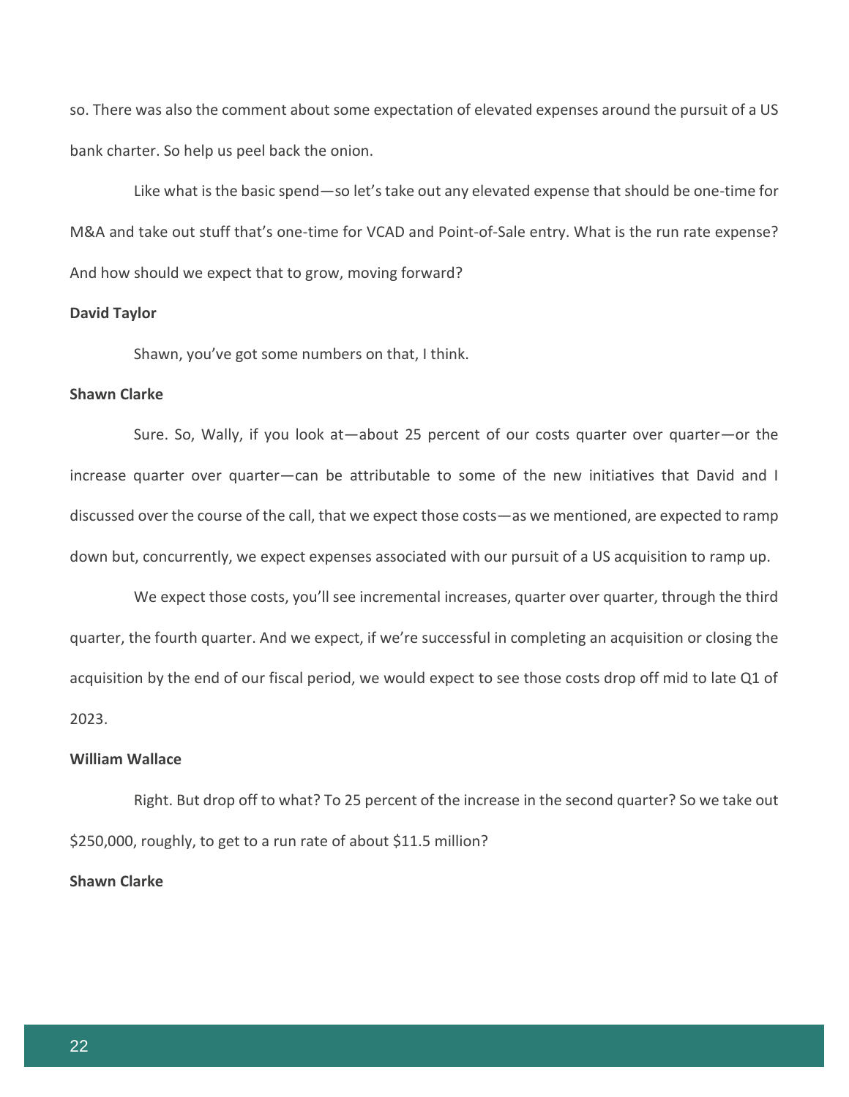so. There was also the comment about some expectation of elevated expenses around the pursuit of a US bank charter. So help us peel back the onion.

Like what is the basic spend—so let's take out any elevated expense that should be one-time for M&A and take out stuff that's one-time for VCAD and Point-of-Sale entry. What is the run rate expense? And how should we expect that to grow, moving forward?

### **David Taylor**

Shawn, you've got some numbers on that, I think.

# **Shawn Clarke**

Sure. So, Wally, if you look at—about 25 percent of our costs quarter over quarter—or the increase quarter over quarter—can be attributable to some of the new initiatives that David and I discussed over the course of the call, that we expect those costs—as we mentioned, are expected to ramp down but, concurrently, we expect expenses associated with our pursuit of a US acquisition to ramp up.

We expect those costs, you'll see incremental increases, quarter over quarter, through the third quarter, the fourth quarter. And we expect, if we're successful in completing an acquisition or closing the acquisition by the end of our fiscal period, we would expect to see those costs drop off mid to late Q1 of 2023.

# **William Wallace**

Right. But drop off to what? To 25 percent of the increase in the second quarter? So we take out \$250,000, roughly, to get to a run rate of about \$11.5 million?

### **Shawn Clarke**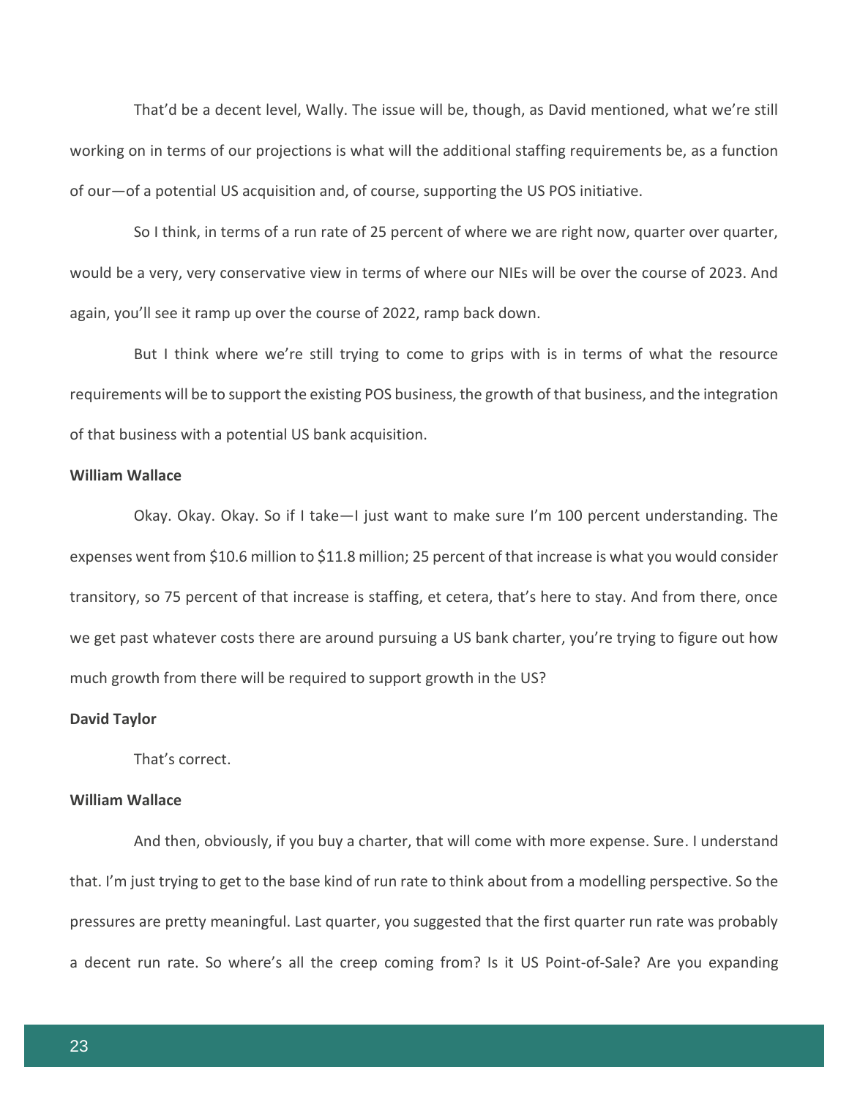That'd be a decent level, Wally. The issue will be, though, as David mentioned, what we're still working on in terms of our projections is what will the additional staffing requirements be, as a function of our—of a potential US acquisition and, of course, supporting the US POS initiative.

So I think, in terms of a run rate of 25 percent of where we are right now, quarter over quarter, would be a very, very conservative view in terms of where our NIEs will be over the course of 2023. And again, you'll see it ramp up over the course of 2022, ramp back down.

But I think where we're still trying to come to grips with is in terms of what the resource requirements will be to support the existing POS business, the growth of that business, and the integration of that business with a potential US bank acquisition.

# **William Wallace**

Okay. Okay. Okay. So if I take—I just want to make sure I'm 100 percent understanding. The expenses went from \$10.6 million to \$11.8 million; 25 percent of that increase is what you would consider transitory, so 75 percent of that increase is staffing, et cetera, that's here to stay. And from there, once we get past whatever costs there are around pursuing a US bank charter, you're trying to figure out how much growth from there will be required to support growth in the US?

### **David Taylor**

That's correct.

# **William Wallace**

And then, obviously, if you buy a charter, that will come with more expense. Sure. I understand that. I'm just trying to get to the base kind of run rate to think about from a modelling perspective. So the pressures are pretty meaningful. Last quarter, you suggested that the first quarter run rate was probably a decent run rate. So where's all the creep coming from? Is it US Point-of-Sale? Are you expanding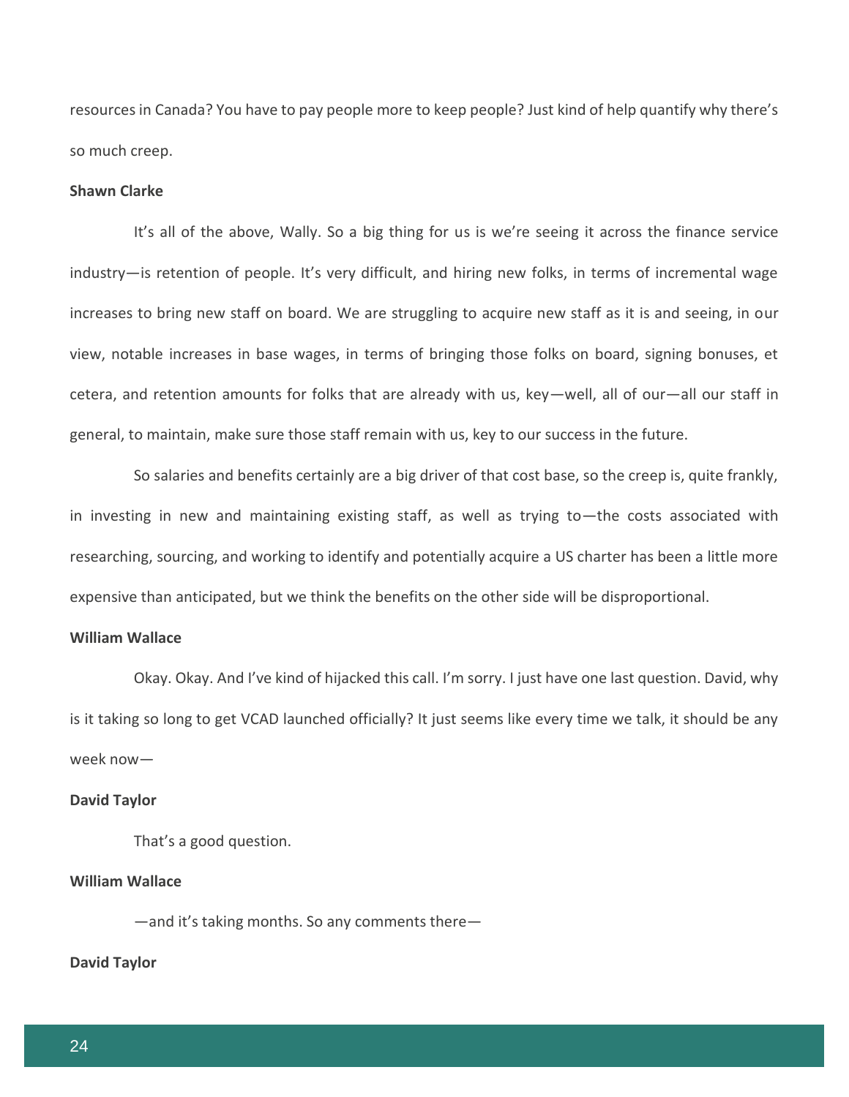resources in Canada? You have to pay people more to keep people? Just kind of help quantify why there's so much creep.

# **Shawn Clarke**

It's all of the above, Wally. So a big thing for us is we're seeing it across the finance service industry—is retention of people. It's very difficult, and hiring new folks, in terms of incremental wage increases to bring new staff on board. We are struggling to acquire new staff as it is and seeing, in our view, notable increases in base wages, in terms of bringing those folks on board, signing bonuses, et cetera, and retention amounts for folks that are already with us, key—well, all of our—all our staff in general, to maintain, make sure those staff remain with us, key to our success in the future.

So salaries and benefits certainly are a big driver of that cost base, so the creep is, quite frankly, in investing in new and maintaining existing staff, as well as trying to—the costs associated with researching, sourcing, and working to identify and potentially acquire a US charter has been a little more expensive than anticipated, but we think the benefits on the other side will be disproportional.

### **William Wallace**

Okay. Okay. And I've kind of hijacked this call. I'm sorry. I just have one last question. David, why is it taking so long to get VCAD launched officially? It just seems like every time we talk, it should be any week now—

### **David Taylor**

That's a good question.

# **William Wallace**

—and it's taking months. So any comments there—

### **David Taylor**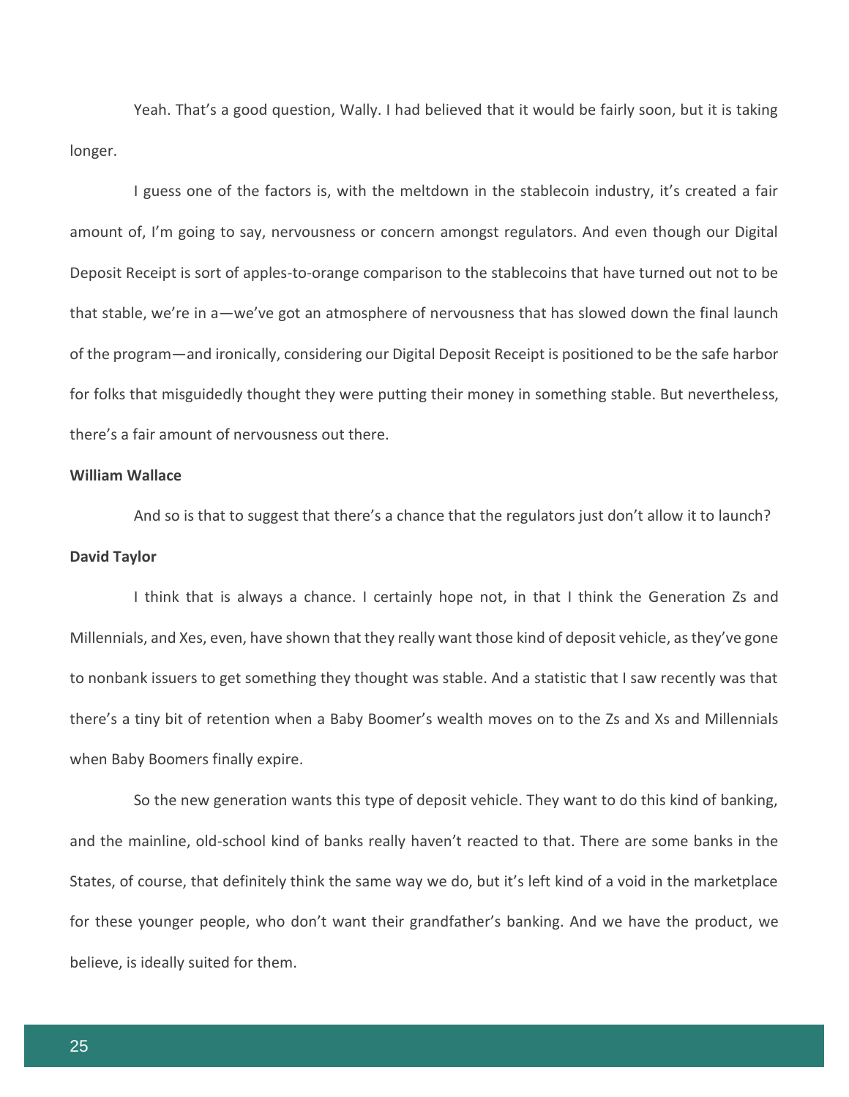Yeah. That's a good question, Wally. I had believed that it would be fairly soon, but it is taking longer.

I guess one of the factors is, with the meltdown in the stablecoin industry, it's created a fair amount of, I'm going to say, nervousness or concern amongst regulators. And even though our Digital Deposit Receipt is sort of apples-to-orange comparison to the stablecoins that have turned out not to be that stable, we're in a—we've got an atmosphere of nervousness that has slowed down the final launch of the program—and ironically, considering our Digital Deposit Receipt is positioned to be the safe harbor for folks that misguidedly thought they were putting their money in something stable. But nevertheless, there's a fair amount of nervousness out there.

# **William Wallace**

And so is that to suggest that there's a chance that the regulators just don't allow it to launch? **David Taylor**

I think that is always a chance. I certainly hope not, in that I think the Generation Zs and Millennials, and Xes, even, have shown that they really want those kind of deposit vehicle, as they've gone to nonbank issuers to get something they thought was stable. And a statistic that I saw recently was that there's a tiny bit of retention when a Baby Boomer's wealth moves on to the Zs and Xs and Millennials when Baby Boomers finally expire.

So the new generation wants this type of deposit vehicle. They want to do this kind of banking, and the mainline, old-school kind of banks really haven't reacted to that. There are some banks in the States, of course, that definitely think the same way we do, but it's left kind of a void in the marketplace for these younger people, who don't want their grandfather's banking. And we have the product, we believe, is ideally suited for them.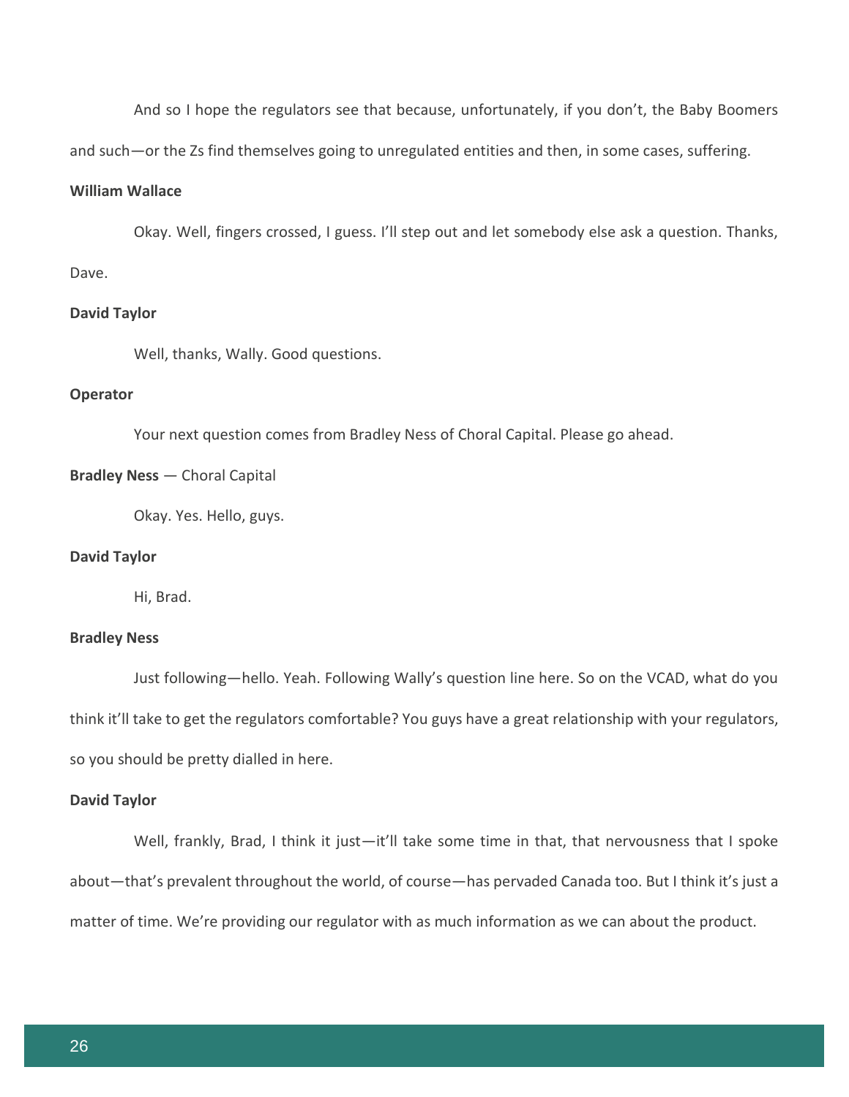And so I hope the regulators see that because, unfortunately, if you don't, the Baby Boomers

and such—or the Zs find themselves going to unregulated entities and then, in some cases, suffering.

# **William Wallace**

Okay. Well, fingers crossed, I guess. I'll step out and let somebody else ask a question. Thanks,

### Dave.

### **David Taylor**

Well, thanks, Wally. Good questions.

### **Operator**

Your next question comes from Bradley Ness of Choral Capital. Please go ahead.

# **Bradley Ness** — Choral Capital

Okay. Yes. Hello, guys.

### **David Taylor**

Hi, Brad.

## **Bradley Ness**

Just following—hello. Yeah. Following Wally's question line here. So on the VCAD, what do you think it'll take to get the regulators comfortable? You guys have a great relationship with your regulators, so you should be pretty dialled in here.

### **David Taylor**

Well, frankly, Brad, I think it just—it'll take some time in that, that nervousness that I spoke about—that's prevalent throughout the world, of course—has pervaded Canada too. But I think it's just a matter of time. We're providing our regulator with as much information as we can about the product.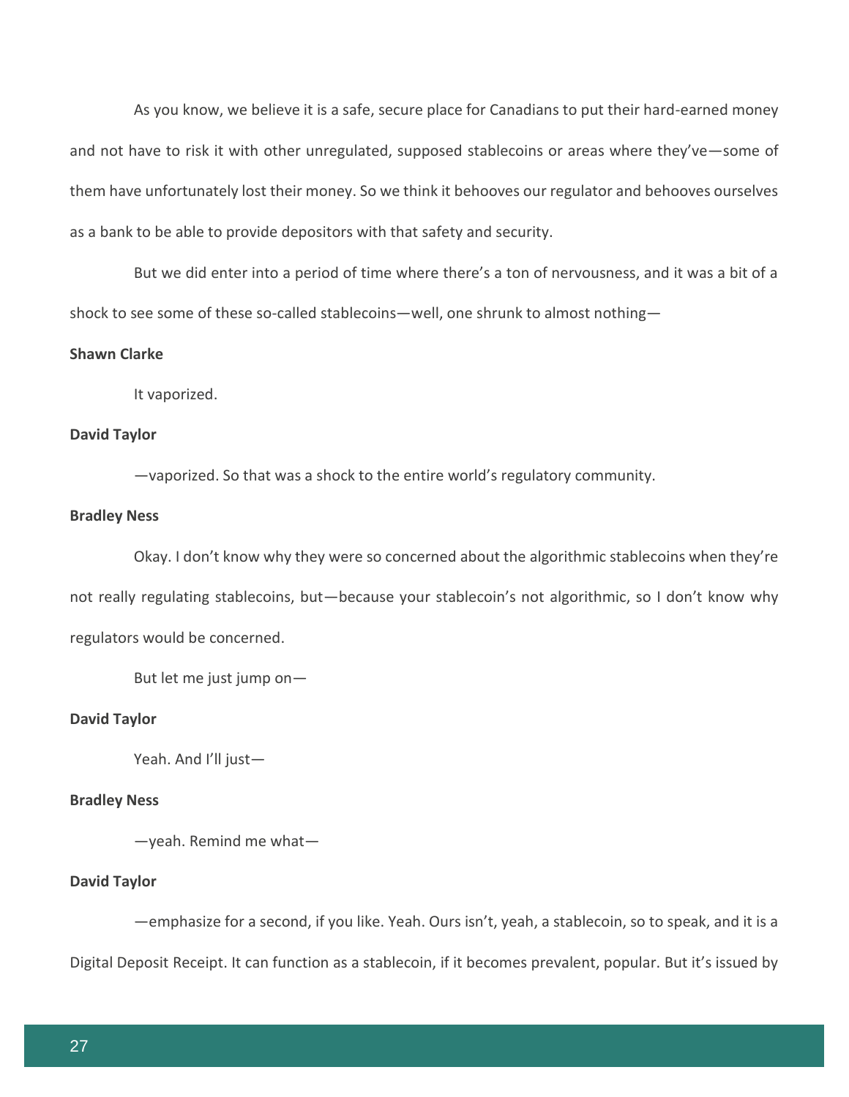As you know, we believe it is a safe, secure place for Canadians to put their hard-earned money and not have to risk it with other unregulated, supposed stablecoins or areas where they've—some of them have unfortunately lost their money. So we think it behooves our regulator and behooves ourselves as a bank to be able to provide depositors with that safety and security.

But we did enter into a period of time where there's a ton of nervousness, and it was a bit of a shock to see some of these so-called stablecoins—well, one shrunk to almost nothing—

# **Shawn Clarke**

It vaporized.

# **David Taylor**

—vaporized. So that was a shock to the entire world's regulatory community.

### **Bradley Ness**

Okay. I don't know why they were so concerned about the algorithmic stablecoins when they're not really regulating stablecoins, but—because your stablecoin's not algorithmic, so I don't know why regulators would be concerned.

But let me just jump on—

### **David Taylor**

Yeah. And I'll just—

# **Bradley Ness**

—yeah. Remind me what—

### **David Taylor**

—emphasize for a second, if you like. Yeah. Ours isn't, yeah, a stablecoin, so to speak, and it is a Digital Deposit Receipt. It can function as a stablecoin, if it becomes prevalent, popular. But it's issued by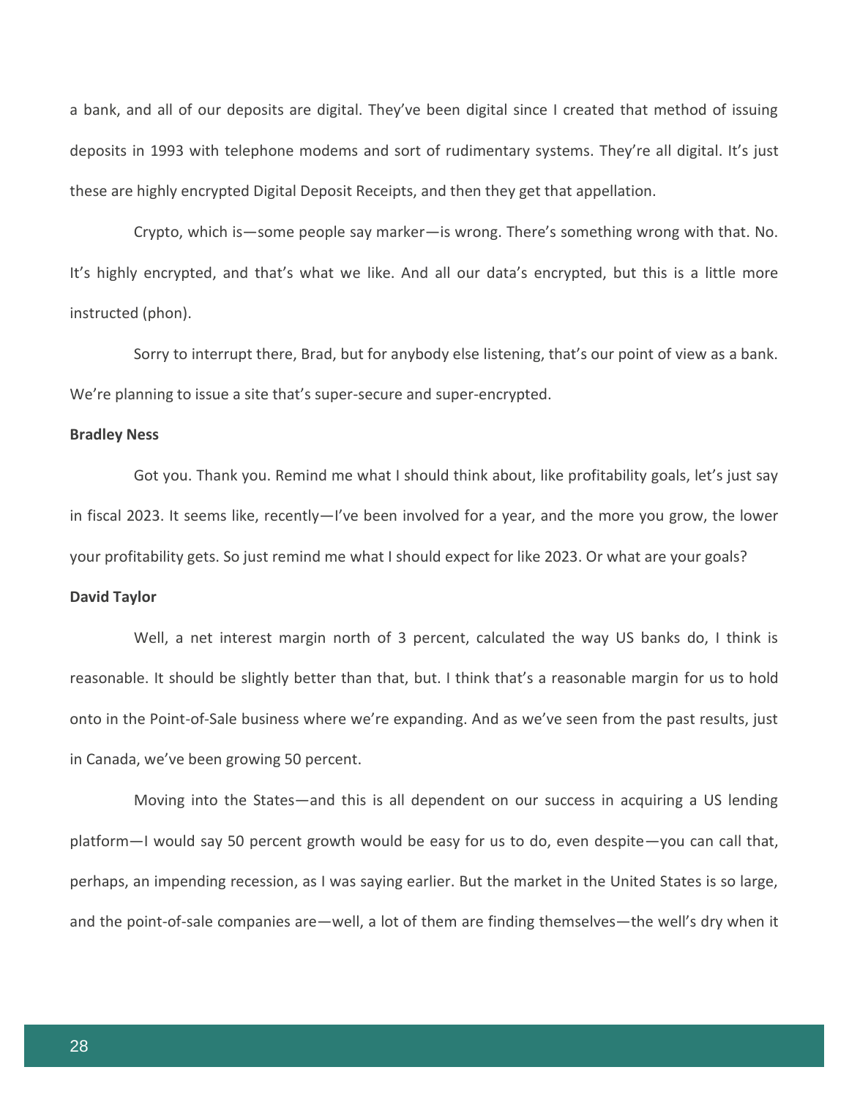a bank, and all of our deposits are digital. They've been digital since I created that method of issuing deposits in 1993 with telephone modems and sort of rudimentary systems. They're all digital. It's just these are highly encrypted Digital Deposit Receipts, and then they get that appellation.

Crypto, which is—some people say marker—is wrong. There's something wrong with that. No. It's highly encrypted, and that's what we like. And all our data's encrypted, but this is a little more instructed (phon).

Sorry to interrupt there, Brad, but for anybody else listening, that's our point of view as a bank. We're planning to issue a site that's super-secure and super-encrypted.

### **Bradley Ness**

Got you. Thank you. Remind me what I should think about, like profitability goals, let's just say in fiscal 2023. It seems like, recently—I've been involved for a year, and the more you grow, the lower your profitability gets. So just remind me what I should expect for like 2023. Or what are your goals?

# **David Taylor**

Well, a net interest margin north of 3 percent, calculated the way US banks do, I think is reasonable. It should be slightly better than that, but. I think that's a reasonable margin for us to hold onto in the Point-of-Sale business where we're expanding. And as we've seen from the past results, just in Canada, we've been growing 50 percent.

Moving into the States—and this is all dependent on our success in acquiring a US lending platform—I would say 50 percent growth would be easy for us to do, even despite—you can call that, perhaps, an impending recession, as I was saying earlier. But the market in the United States is so large, and the point-of-sale companies are—well, a lot of them are finding themselves—the well's dry when it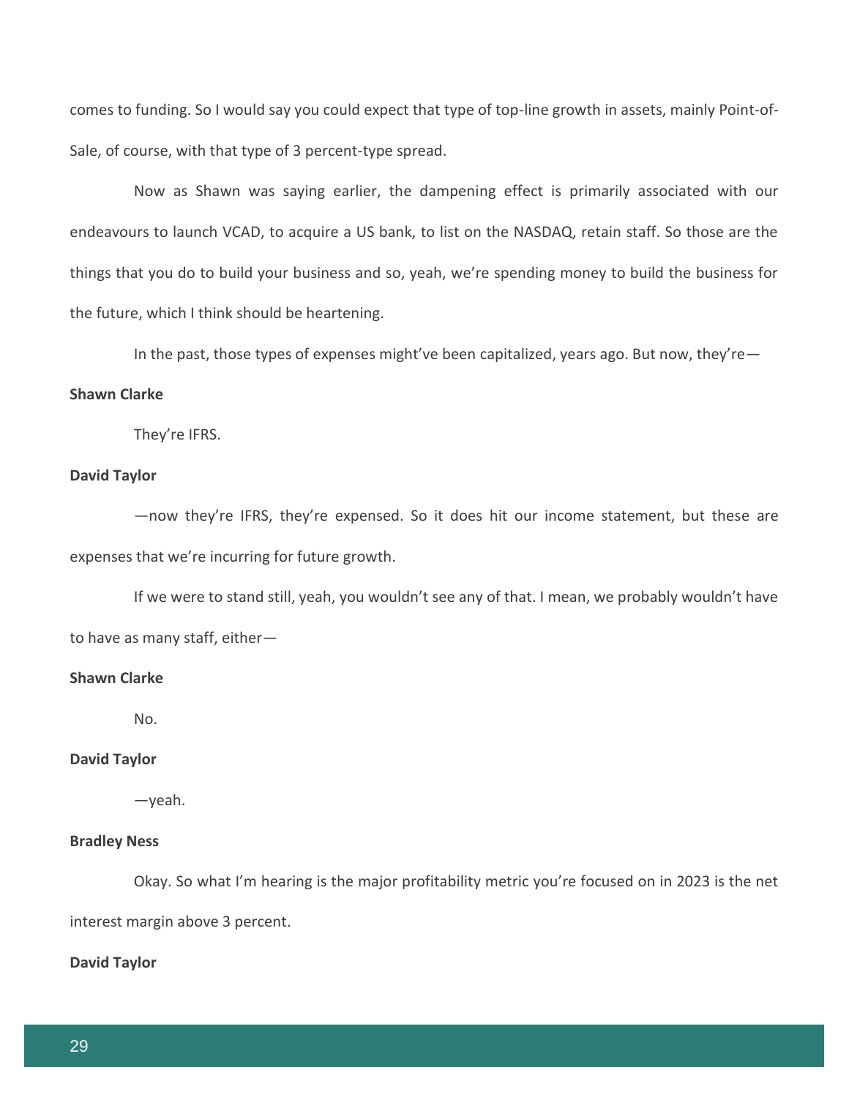comes to funding. So I would say you could expect that type of top-line growth in assets, mainly Point-of-Sale, of course, with that type of 3 percent-type spread.

Now as Shawn was saying earlier, the dampening effect is primarily associated with our endeavours to launch VCAD, to acquire a US bank, to list on the NASDAQ, retain staff. So those are the things that you do to build your business and so, yeah, we're spending money to build the business for the future, which I think should be heartening.

In the past, those types of expenses might've been capitalized, years ago. But now, they're—

# **Shawn Clarke**

They're IFRS.

# **David Taylor**

—now they're IFRS, they're expensed. So it does hit our income statement, but these are expenses that we're incurring for future growth.

If we were to stand still, yeah, you wouldn't see any of that. I mean, we probably wouldn't have to have as many staff, either—

# **Shawn Clarke**

No.

# **David Taylor**

—yeah.

# **Bradley Ness**

Okay. So what I'm hearing is the major profitability metric you're focused on in 2023 is the net interest margin above 3 percent.

### **David Taylor**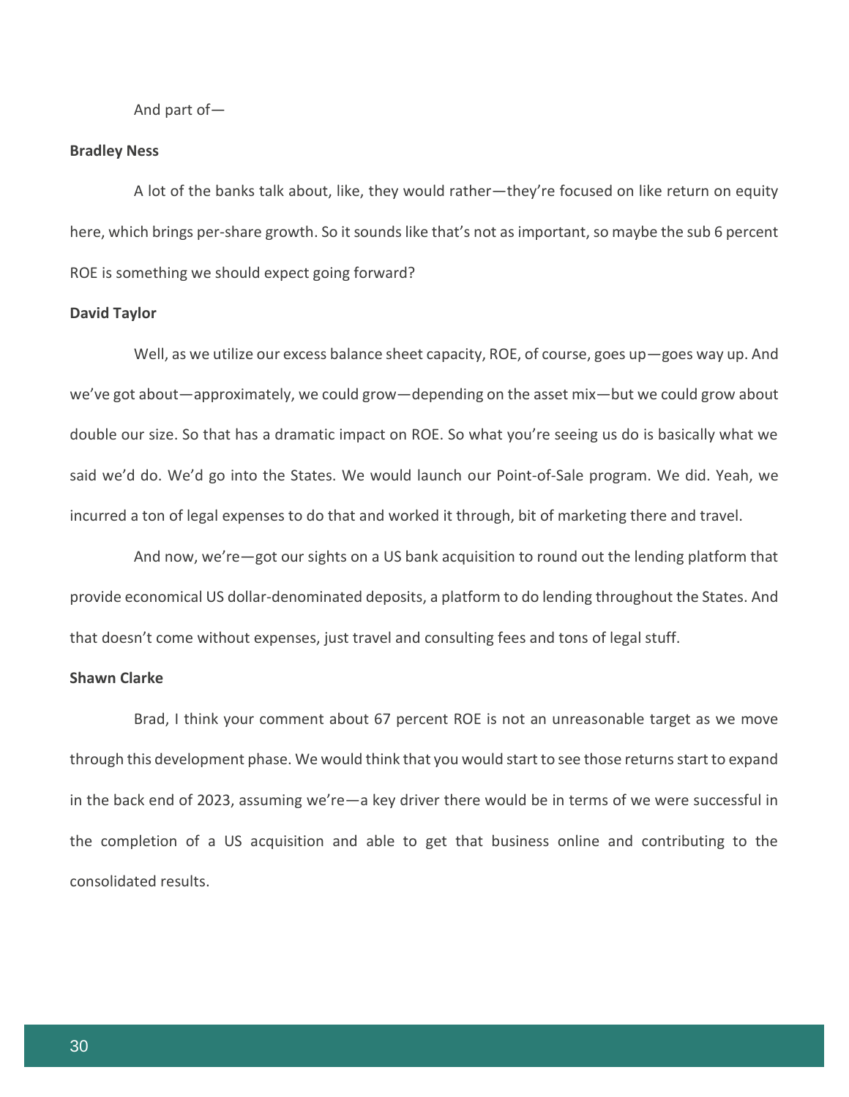# And part of—

### **Bradley Ness**

A lot of the banks talk about, like, they would rather—they're focused on like return on equity here, which brings per-share growth. So it sounds like that's not as important, so maybe the sub 6 percent ROE is something we should expect going forward?

### **David Taylor**

Well, as we utilize our excess balance sheet capacity, ROE, of course, goes up—goes way up. And we've got about—approximately, we could grow—depending on the asset mix—but we could grow about double our size. So that has a dramatic impact on ROE. So what you're seeing us do is basically what we said we'd do. We'd go into the States. We would launch our Point-of-Sale program. We did. Yeah, we incurred a ton of legal expenses to do that and worked it through, bit of marketing there and travel.

And now, we're—got our sights on a US bank acquisition to round out the lending platform that provide economical US dollar-denominated deposits, a platform to do lending throughout the States. And that doesn't come without expenses, just travel and consulting fees and tons of legal stuff.

# **Shawn Clarke**

Brad, I think your comment about 67 percent ROE is not an unreasonable target as we move through this development phase. We would think that you would start to see those returns start to expand in the back end of 2023, assuming we're—a key driver there would be in terms of we were successful in the completion of a US acquisition and able to get that business online and contributing to the consolidated results.